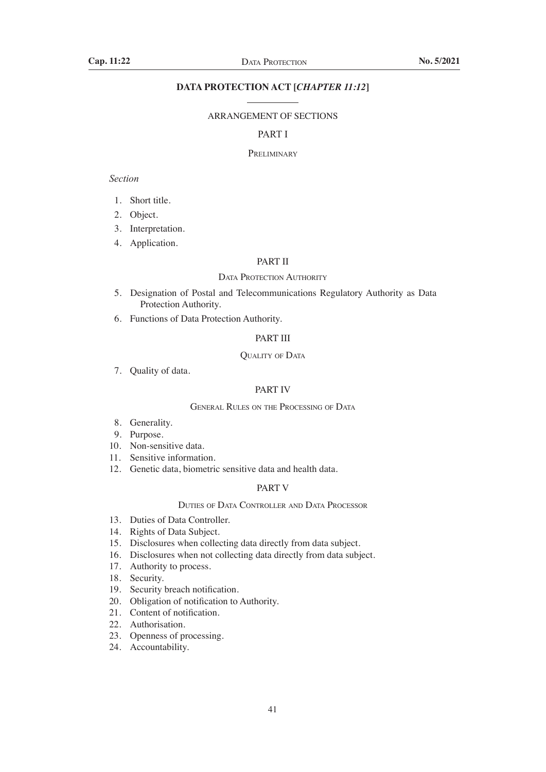# **DATA PROTECTION ACT [***CHAPTER 11:12***]**

## ARRANGEMENT OF SECTIONS

## PART I

#### **PRELIMINARY**

## *Section*

- 1. Short title.
- 2. Object.
- 3. Interpretation.
- 4. Application.

## PART II

#### DATA PROTECTION AUTHORITY

- 5. Designation of Postal and Telecommunications Regulatory Authority as Data Protection Authority.
- 6. Functions of Data Protection Authority.

## PART III

## QUALITY OF DATA

7. Quality of data.

# PART IV

## General Rules on the Processing of Data

- 8. Generality.
- 9. Purpose.
- 10. Non-sensitive data.
- 11. Sensitive information.
- 12. Genetic data, biometric sensitive data and health data.

## PART V

## Duties of Data Controller and Data Processor

- 13. Duties of Data Controller.
- 14. Rights of Data Subject.
- 15. Disclosures when collecting data directly from data subject.
- 16. Disclosures when not collecting data directly from data subject.
- 17. Authority to process.
- 18. Security.
- 19. Security breach notification.
- 20. Obligation of notification to Authority.
- 21. Content of notification.
- 22. Authorisation.
- 23. Openness of processing.
- 24. Accountability.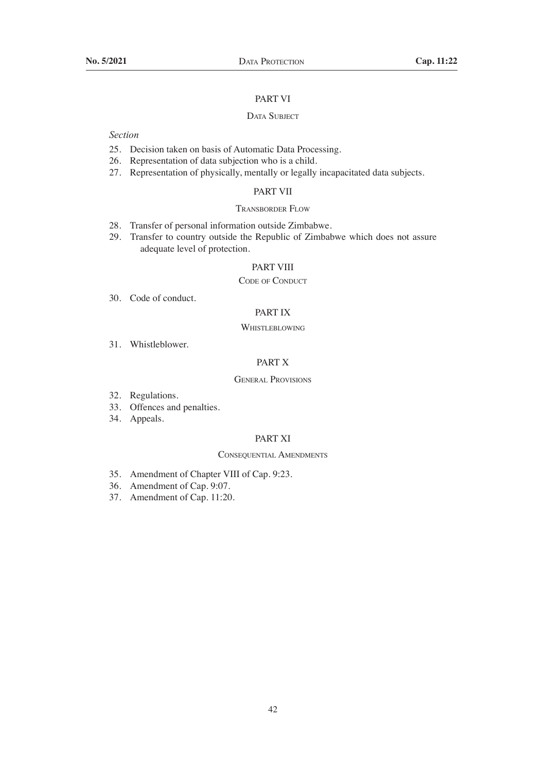## PART VI

## DATA SUBJECT

# *Section*

- 25. Decision taken on basis of Automatic Data Processing.
- 26. Representation of data subjection who is a child.
- 27. Representation of physically, mentally or legally incapacitated data subjects.

# PART VII

## Transborder Flow

- 28. Transfer of personal information outside Zimbabwe.
- 29. Transfer to country outside the Republic of Zimbabwe which does not assure adequate level of protection.

## PART VIII

#### CODE OF CONDUCT

30. Code of conduct.

# PART IX

## **WHISTLEBLOWING**

31. Whistleblower.

## PART X

## General Provisions

- 32. Regulations.
- 33. Offences and penalties.
- 34. Appeals.

## PART XI

#### Consequential Amendments

- 35. Amendment of Chapter VIII of Cap. 9:23.
- 36. Amendment of Cap. 9:07.
- 37. Amendment of Cap. 11:20.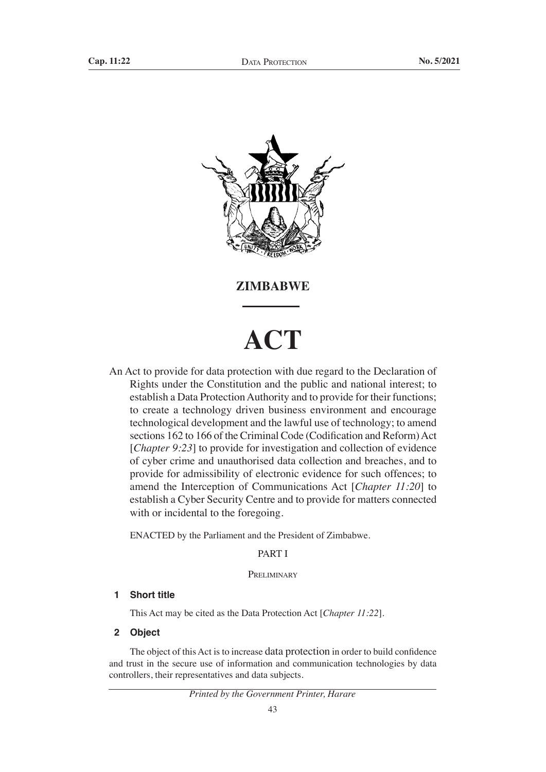

**ZIMBABWE**

# **ACT**

An Act to provide for data protection with due regard to the Declaration of Rights under the Constitution and the public and national interest; to establish a Data Protection Authority and to provide for their functions; to create a technology driven business environment and encourage technological development and the lawful use of technology; to amend sections 162 to 166 of the Criminal Code (Codification and Reform) Act [*Chapter 9:23*] to provide for investigation and collection of evidence of cyber crime and unauthorised data collection and breaches, and to provide for admissibility of electronic evidence for such offences; to amend the Interception of Communications Act [*Chapter 11:20*] to establish a Cyber Security Centre and to provide for matters connected with or incidental to the foregoing.

ENACTED by the Parliament and the President of Zimbabwe.

## PART I

# **PRELIMINARY**

## **1 Short title**

This Act may be cited as the Data Protection Act [*Chapter 11:22*].

**2 Object**

The object of this Act is to increase data protection in order to build confidence and trust in the secure use of information and communication technologies by data controllers, their representatives and data subjects.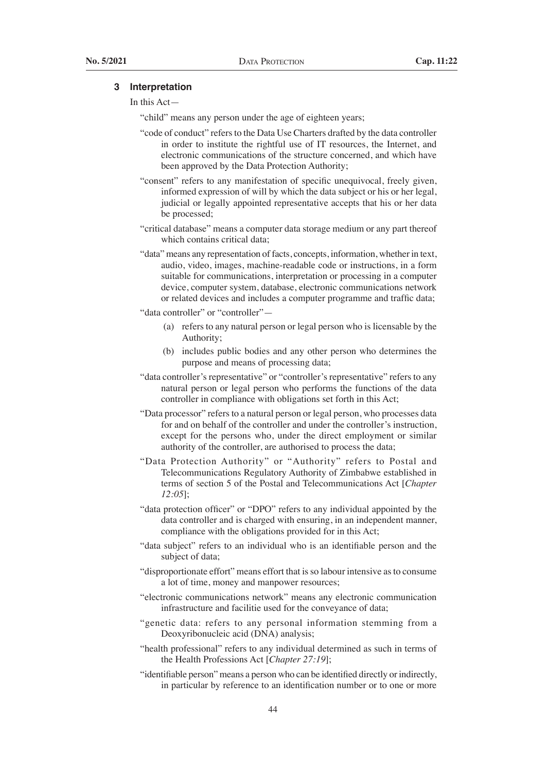## **3 Interpretation**

## In this Act—

"child" means any person under the age of eighteen years;

- "code of conduct" refers to the Data Use Charters drafted by the data controller in order to institute the rightful use of IT resources, the Internet, and electronic communications of the structure concerned, and which have been approved by the Data Protection Authority;
- "consent" refers to any manifestation of specific unequivocal, freely given, informed expression of will by which the data subject or his or her legal, judicial or legally appointed representative accepts that his or her data be processed;
- "critical database" means a computer data storage medium or any part thereof which contains critical data;
- "data" means any representation of facts, concepts, information, whether in text, audio, video, images, machine-readable code or instructions, in a form suitable for communications, interpretation or processing in a computer device, computer system, database, electronic communications network or related devices and includes a computer programme and traffic data;

"data controller" or "controller"-

- (a) refers to any natural person or legal person who is licensable by the Authority;
- (b) includes public bodies and any other person who determines the purpose and means of processing data;
- "data controller's representative" or "controller's representative" refers to any natural person or legal person who performs the functions of the data controller in compliance with obligations set forth in this Act;
- "Data processor" refers to a natural person or legal person, who processes data for and on behalf of the controller and under the controller's instruction, except for the persons who, under the direct employment or similar authority of the controller, are authorised to process the data;
- "Data Protection Authority" or "Authority" refers to Postal and Telecommunications Regulatory Authority of Zimbabwe established in terms of section 5 of the Postal and Telecommunications Act [*Chapter 12:05*];
- "data protection officer" or "DPO" refers to any individual appointed by the data controller and is charged with ensuring, in an independent manner, compliance with the obligations provided for in this Act;
- "data subject" refers to an individual who is an identifiable person and the subject of data;
- "disproportionate effort" means effort that is so labour intensive as to consume a lot of time, money and manpower resources;
- "electronic communications network" means any electronic communication infrastructure and facilitie used for the conveyance of data;
- "genetic data: refers to any personal information stemming from a Deoxyribonucleic acid (DNA) analysis;
- "health professional" refers to any individual determined as such in terms of the Health Professions Act [*Chapter 27:19*];
- "identifiable person" means a person who can be identified directly or indirectly, in particular by reference to an identification number or to one or more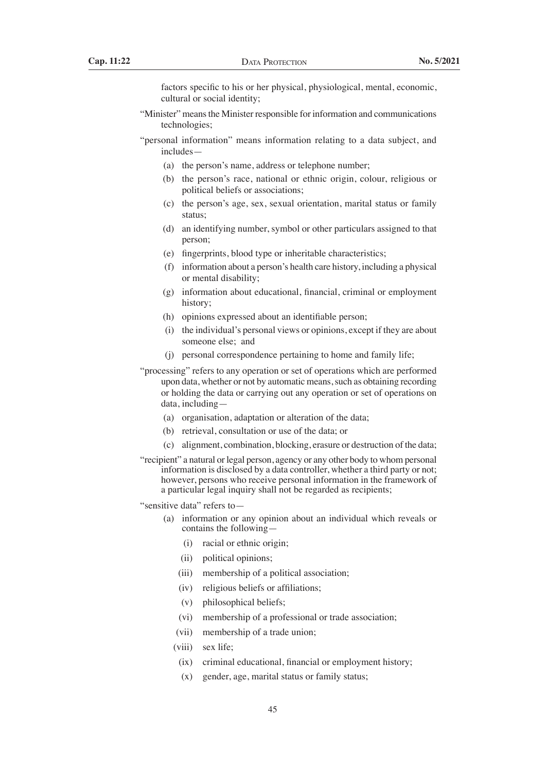factors specific to his or her physical, physiological, mental, economic, cultural or social identity;

- "Minister" means the Minister responsible for information and communications technologies;
- "personal information" means information relating to a data subject, and includes—
	- (a) the person's name, address or telephone number;
	- (b) the person's race, national or ethnic origin, colour, religious or political beliefs or associations;
	- (c) the person's age, sex, sexual orientation, marital status or family status;
	- (d) an identifying number, symbol or other particulars assigned to that person;
	- (e) fingerprints, blood type or inheritable characteristics;
	- $(f)$  information about a person's health care history, including a physical or mental disability;
	- (g) information about educational, financial, criminal or employment history;
	- (h) opinions expressed about an identifiable person;
	- (i) the individual's personal views or opinions, except if they are about someone else; and
	- (i) personal correspondence pertaining to home and family life;
- "processing" refers to any operation or set of operations which are performed upon data, whether or not by automatic means, such as obtaining recording or holding the data or carrying out any operation or set of operations on data, including—
	- (a) organisation, adaptation or alteration of the data;
	- (b) retrieval, consultation or use of the data; or
	- (c) alignment, combination, blocking, erasure or destruction of the data;
- "recipient" a natural or legal person, agency or any other body to whom personal information is disclosed by a data controller, whether a third party or not; however, persons who receive personal information in the framework of a particular legal inquiry shall not be regarded as recipients;
- "sensitive data" refers to—
	- (a) information or any opinion about an individual which reveals or contains the following—
		- (i) racial or ethnic origin;
		- (ii) political opinions:
		- (iii) membership of a political association;
		- (iv) religious beliefs or affiliations;
		- (v) philosophical beliefs;
		- (vi) membership of a professional or trade association;
		- (vii) membership of a trade union;
		- (viii) sex life;
		- (ix) criminal educational, financial or employment history;
		- (x) gender, age, marital status or family status;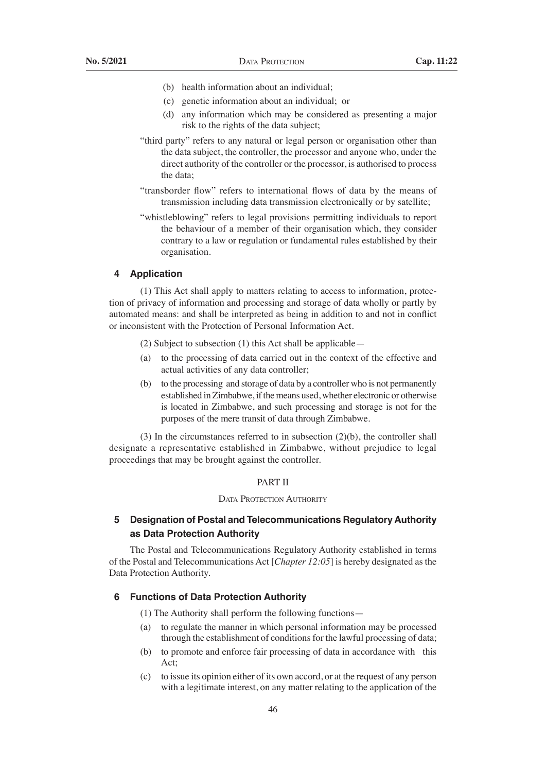- (b) health information about an individual:
- (c) genetic information about an individual; or
- (d) any information which may be considered as presenting a major risk to the rights of the data subject;
- "third party" refers to any natural or legal person or organisation other than the data subject, the controller, the processor and anyone who, under the direct authority of the controller or the processor, is authorised to process the data;
- "transborder flow" refers to international flows of data by the means of transmission including data transmission electronically or by satellite;
- "whistleblowing" refers to legal provisions permitting individuals to report the behaviour of a member of their organisation which, they consider contrary to a law or regulation or fundamental rules established by their organisation.

## **4 Application**

 (1) This Act shall apply to matters relating to access to information, protection of privacy of information and processing and storage of data wholly or partly by automated means: and shall be interpreted as being in addition to and not in conflict or inconsistent with the Protection of Personal Information Act.

- (2) Subject to subsection (1) this Act shall be applicable—
- (a) to the processing of data carried out in the context of the effective and actual activities of any data controller;
- (b) to the processing and storage of data by a controller who is not permanently established in Zimbabwe, if the means used, whether electronic or otherwise is located in Zimbabwe, and such processing and storage is not for the purposes of the mere transit of data through Zimbabwe.

 (3) In the circumstances referred to in subsection (2)(b), the controller shall designate a representative established in Zimbabwe, without prejudice to legal proceedings that may be brought against the controller.

## PART II

## DATA PROTECTION AUTHORITY

# **5 Designation of Postal and Telecommunications Regulatory Authority as Data Protection Authority**

The Postal and Telecommunications Regulatory Authority established in terms of the Postal and Telecommunications Act [*Chapter 12:05*] is hereby designated as the Data Protection Authority.

## **6 Functions of Data Protection Authority**

- (1) The Authority shall perform the following functions—
- (a) to regulate the manner in which personal information may be processed through the establishment of conditions for the lawful processing of data;
- (b) to promote and enforce fair processing of data in accordance with this Act;
- (c) to issue its opinion either of its own accord, or at the request of any person with a legitimate interest, on any matter relating to the application of the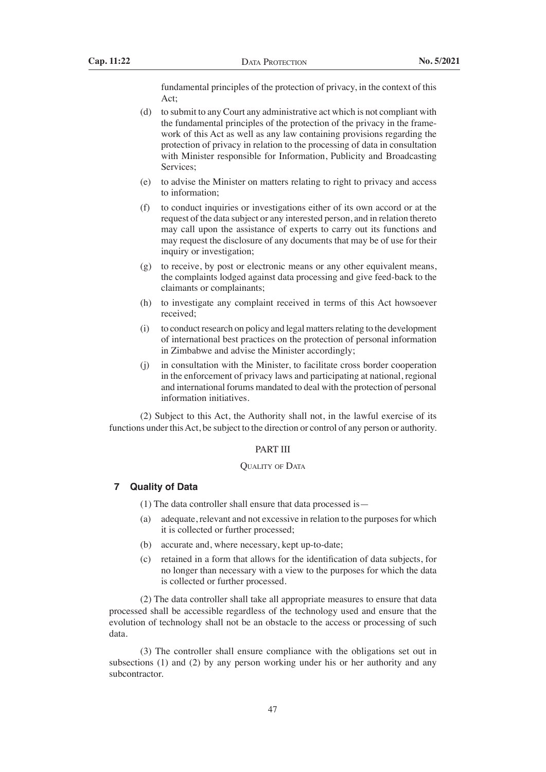fundamental principles of the protection of privacy, in the context of this Act;

- (d) to submit to any Court any administrative act which is not compliant with the fundamental principles of the protection of the privacy in the framework of this Act as well as any law containing provisions regarding the protection of privacy in relation to the processing of data in consultation with Minister responsible for Information, Publicity and Broadcasting Services;
- (e) to advise the Minister on matters relating to right to privacy and access to information;
- (f) to conduct inquiries or investigations either of its own accord or at the request of the data subject or any interested person, and in relation thereto may call upon the assistance of experts to carry out its functions and may request the disclosure of any documents that may be of use for their inquiry or investigation;
- (g) to receive, by post or electronic means or any other equivalent means, the complaints lodged against data processing and give feed-back to the claimants or complainants;
- (h) to investigate any complaint received in terms of this Act howsoever received;
- $(i)$  to conduct research on policy and legal matters relating to the development of international best practices on the protection of personal information in Zimbabwe and advise the Minister accordingly;
- (j) in consultation with the Minister, to facilitate cross border cooperation in the enforcement of privacy laws and participating at national, regional and international forums mandated to deal with the protection of personal information initiatives.

 (2) Subject to this Act, the Authority shall not, in the lawful exercise of its functions under this Act, be subject to the direction or control of any person or authority.

## PART III

## QUALITY OF DATA

# **7 Quality of Data**

 (1) The data controller shall ensure that data processed is—

- (a) adequate, relevant and not excessive in relation to the purposesfor which it is collected or further processed;
- (b) accurate and, where necessary, kept up-to-date;
- (c) retained in a form that allows for the identification of data subjects, for no longer than necessary with a view to the purposes for which the data is collected or further processed.

 (2) The data controller shall take all appropriate measures to ensure that data processed shall be accessible regardless of the technology used and ensure that the evolution of technology shall not be an obstacle to the access or processing of such data.

 (3) The controller shall ensure compliance with the obligations set out in subsections (1) and (2) by any person working under his or her authority and any subcontractor.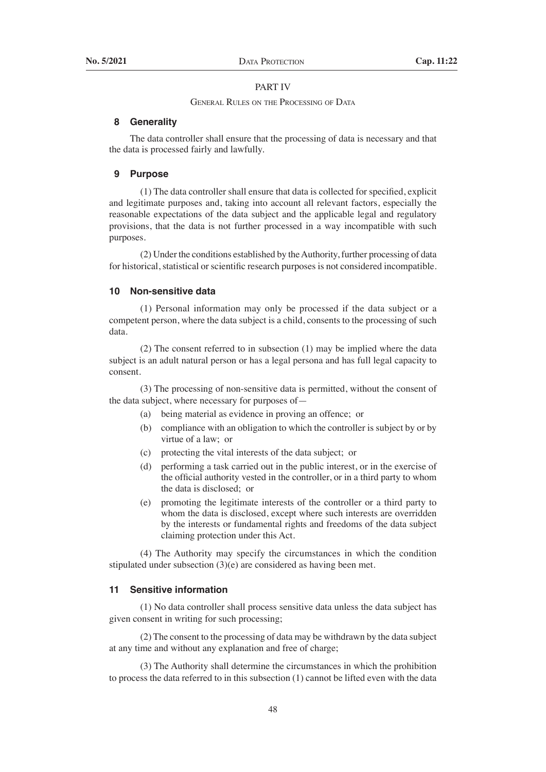## PART IV

#### General Rules on the Processing of Data

## **8 Generality**

The data controller shall ensure that the processing of data is necessary and that the data is processed fairly and lawfully.

## **9 Purpose**

 (1) The data controller shall ensure that data is collected for specified, explicit and legitimate purposes and, taking into account all relevant factors, especially the reasonable expectations of the data subject and the applicable legal and regulatory provisions, that the data is not further processed in a way incompatible with such purposes.

 (2) Under the conditions established by theAuthority, further processing of data for historical, statistical or scientific research purposes is not considered incompatible.

## **10 Non-sensitive data**

 (1) Personal information may only be processed if the data subject or a competent person, where the data subject is a child, consents to the processing of such data.

 (2) The consent referred to in subsection (1) may be implied where the data subject is an adult natural person or has a legal persona and has full legal capacity to consent.

 (3) The processing of non-sensitive data is permitted, without the consent of the data subject, where necessary for purposes of—

- (a) being material as evidence in proving an offence; or
- (b) compliance with an obligation to which the controller is subject by or by virtue of a law; or
- (c) protecting the vital interests of the data subject; or
- (d) performing a task carried out in the public interest, or in the exercise of the official authority vested in the controller, or in a third party to whom the data is disclosed; or
- (e) promoting the legitimate interests of the controller or a third party to whom the data is disclosed, except where such interests are overridden by the interests or fundamental rights and freedoms of the data subject claiming protection under this Act.

 (4) The Authority may specify the circumstances in which the condition stipulated under subsection  $(3)(e)$  are considered as having been met.

## **11 Sensitive information**

 (1) No data controller shall process sensitive data unless the data subject has given consent in writing for such processing;

 (2) The consent to the processing of data may be withdrawn by the data subject at any time and without any explanation and free of charge;

 (3) The Authority shall determine the circumstances in which the prohibition to process the data referred to in this subsection (1) cannot be lifted even with the data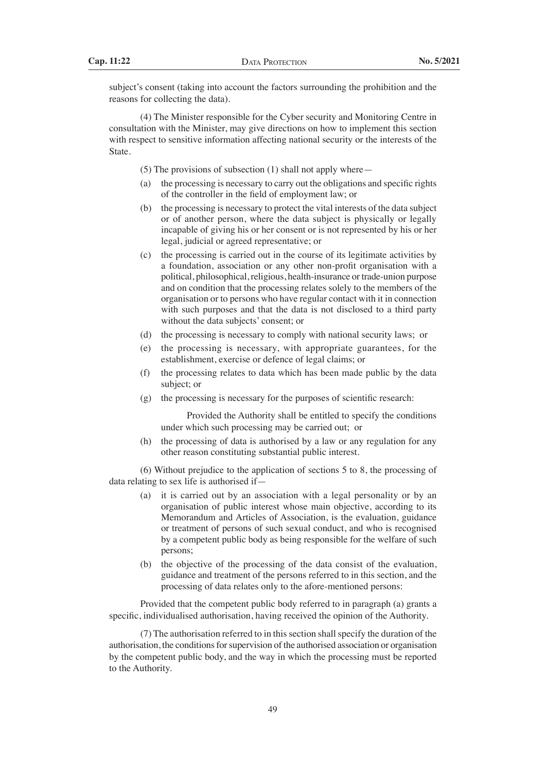subject's consent (taking into account the factors surrounding the prohibition and the reasons for collecting the data).

 (4) The Minister responsible for the Cyber security and Monitoring Centre in consultation with the Minister, may give directions on how to implement this section with respect to sensitive information affecting national security or the interests of the State.

 (5) The provisions of subsection (1) shall not apply where—

- (a) the processing is necessary to carry out the obligations and specific rights of the controller in the field of employment law; or
- (b) the processing is necessary to protect the vital interests of the data subject or of another person, where the data subject is physically or legally incapable of giving his or her consent or is not represented by his or her legal, judicial or agreed representative; or
- (c) the processing is carried out in the course of its legitimate activities by a foundation, association or any other non-profit organisation with a political, philosophical, religious, health-insurance or trade-union purpose and on condition that the processing relates solely to the members of the organisation or to persons who have regular contact with it in connection with such purposes and that the data is not disclosed to a third party without the data subjects' consent; or
- (d) the processing is necessary to comply with national security laws; or
- (e) the processing is necessary, with appropriate guarantees, for the establishment, exercise or defence of legal claims; or
- (f) the processing relates to data which has been made public by the data subject; or
- $(g)$  the processing is necessary for the purposes of scientific research:

 Provided the Authority shall be entitled to specify the conditions under which such processing may be carried out; or

(h) the processing of data is authorised by a law or any regulation for any other reason constituting substantial public interest.

 (6) Without prejudice to the application of sections 5 to 8, the processing of data relating to sex life is authorised if—

- (a) it is carried out by an association with a legal personality or by an organisation of public interest whose main objective, according to its Memorandum and Articles of Association, is the evaluation, guidance or treatment of persons of such sexual conduct, and who is recognised by a competent public body as being responsible for the welfare of such persons;
- (b) the objective of the processing of the data consist of the evaluation, guidance and treatment of the persons referred to in this section, and the processing of data relates only to the afore-mentioned persons:

 Provided that the competent public body referred to in paragraph (a) grants a specific, individualised authorisation, having received the opinion of the Authority.

 $(7)$  The authorisation referred to in this section shall specify the duration of the authorisation, the conditions for supervision of the authorised association or organisation by the competent public body, and the way in which the processing must be reported to the Authority.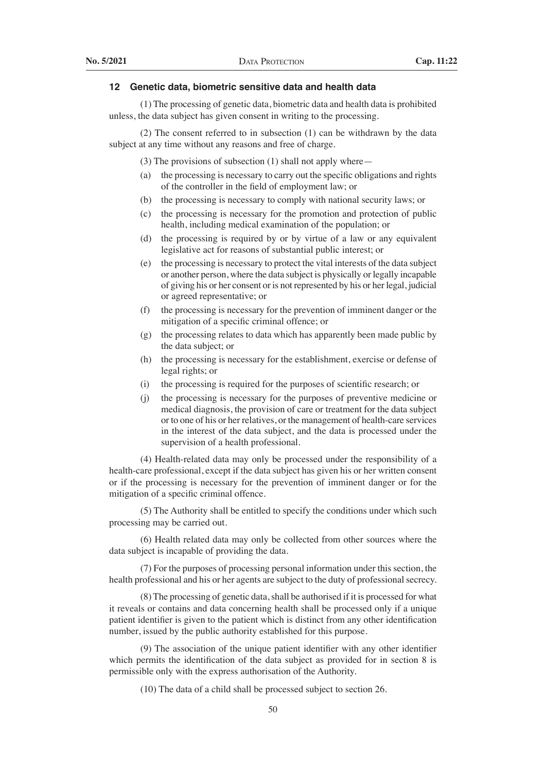## **12 Genetic data, biometric sensitive data and health data**

 (1) The processing of genetic data, biometric data and health data is prohibited unless, the data subject has given consent in writing to the processing.

 (2) The consent referred to in subsection (1) can be withdrawn by the data subject at any time without any reasons and free of charge.

 (3) The provisions of subsection (1) shall not apply where—

- (a) the processing is necessary to carry out the specific obligations and rights of the controller in the field of employment law; or
- (b) the processing is necessary to comply with national security laws; or
- (c) the processing is necessary for the promotion and protection of public health, including medical examination of the population; or
- (d) the processing is required by or by virtue of a law or any equivalent legislative act for reasons of substantial public interest; or
- (e) the processing is necessary to protect the vital interests of the data subject or another person, where the data subject is physically or legally incapable of giving his or her consent or is not represented by his or her legal, judicial or agreed representative; or
- (f) the processing is necessary for the prevention of imminent danger or the mitigation of a specific criminal offence; or
- (g) the processing relates to data which has apparently been made public by the data subject; or
- (h) the processing is necessary for the establishment, exercise or defense of legal rights; or
- (i) the processing is required for the purposes of scientific research; or
- (j) the processing is necessary for the purposes of preventive medicine or medical diagnosis, the provision of care or treatment for the data subject or to one of his or her relatives, or the management of health-care services in the interest of the data subject, and the data is processed under the supervision of a health professional.

 (4) Health-related data may only be processed under the responsibility of a health-care professional, except if the data subject has given his or her written consent or if the processing is necessary for the prevention of imminent danger or for the mitigation of a specific criminal offence.

 (5) The Authority shall be entitled to specify the conditions under which such processing may be carried out.

 (6) Health related data may only be collected from other sources where the data subject is incapable of providing the data.

 (7) For the purposes of processing personal information under this section, the health professional and his or her agents are subject to the duty of professional secrecy.

 (8) The processing of genetic data,shall be authorised if it is processed for what it reveals or contains and data concerning health shall be processed only if a unique patient identifier is given to the patient which is distinct from any other identification number, issued by the public authority established for this purpose.

 (9) The association of the unique patient identifier with any other identifier which permits the identification of the data subject as provided for in section 8 is permissible only with the express authorisation of the Authority.

 (10) The data of a child shall be processed subject to section 26.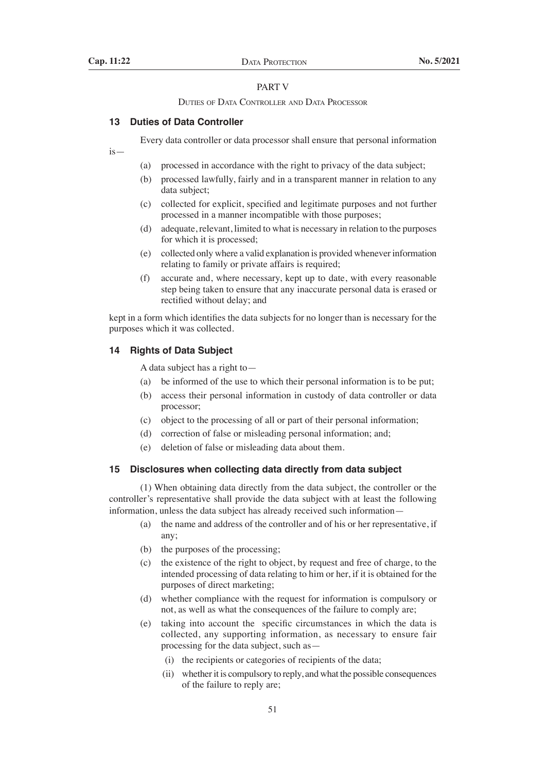#### PART V

#### Duties of Data Controller and Data Processor

## **13 Duties of Data Controller**

Every data controller or data processor shall ensure that personal information

is—

- (a) processed in accordance with the right to privacy of the data subject;
- (b) processed lawfully, fairly and in a transparent manner in relation to any data subject;
- (c) collected for explicit, specified and legitimate purposes and not further processed in a manner incompatible with those purposes;
- (d) adequate, relevant, limited to what is necessary in relation to the purposes for which it is processed;
- (e) collected only where a valid explanation is provided wheneverinformation relating to family or private affairs is required;
- (f) accurate and, where necessary, kept up to date, with every reasonable step being taken to ensure that any inaccurate personal data is erased or rectified without delay; and

kept in a form which identifies the data subjects for no longer than is necessary for the purposes which it was collected.

## **14 Rights of Data Subject**

A data subject has a right to—

- (a) be informed of the use to which their personal information is to be put;
- (b) access their personal information in custody of data controller or data processor;
- (c) object to the processing of all or part of their personal information;
- (d) correction of false or misleading personal information; and;
- (e) deletion of false or misleading data about them.

## **15 Disclosures when collecting data directly from data subject**

 (1) When obtaining data directly from the data subject, the controller or the controller's representative shall provide the data subject with at least the following information, unless the data subject has already received such information—

- (a) the name and address of the controller and of his or her representative, if any;
- (b) the purposes of the processing;
- (c) the existence of the right to object, by request and free of charge, to the intended processing of data relating to him or her, if it is obtained for the purposes of direct marketing;
- (d) whether compliance with the request for information is compulsory or not, as well as what the consequences of the failure to comply are;
- (e) taking into account the specific circumstances in which the data is collected, any supporting information, as necessary to ensure fair processing for the data subject, such as—
	- (i) the recipients or categories of recipients of the data;
	- (ii) whether it is compulsory to reply, and what the possible consequences of the failure to reply are;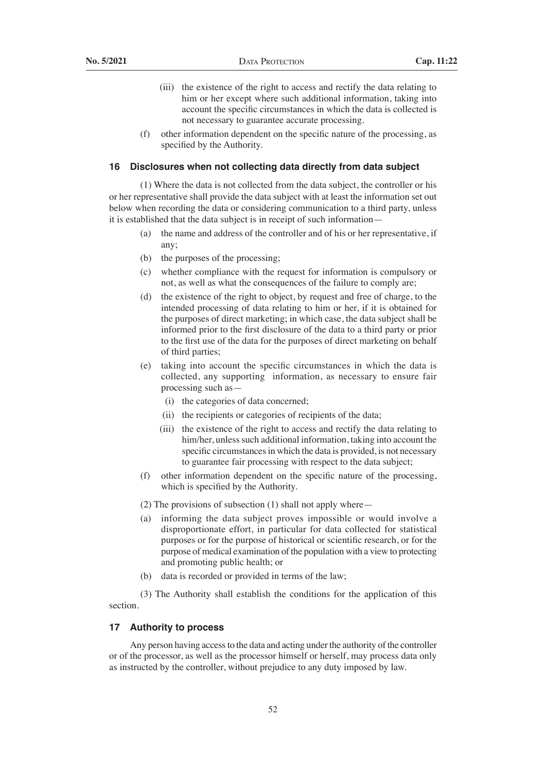- (iii) the existence of the right to access and rectify the data relating to him or her except where such additional information, taking into account the specific circumstances in which the data is collected is not necessary to guarantee accurate processing.
- (f) other information dependent on the specific nature of the processing, as specified by the Authority.

#### **16 Disclosures when not collecting data directly from data subject**

 (1) Where the data is not collected from the data subject, the controller or his or her representative shall provide the data subject with at least the information set out below when recording the data or considering communication to a third party, unless it is established that the data subject is in receipt of such information—

- (a) the name and address of the controller and of his or her representative, if any;
- (b) the purposes of the processing;
- (c) whether compliance with the request for information is compulsory or not, as well as what the consequences of the failure to comply are;
- (d) the existence of the right to object, by request and free of charge, to the intended processing of data relating to him or her, if it is obtained for the purposes of direct marketing; in which case, the data subject shall be informed prior to the first disclosure of the data to a third party or prior to the first use of the data for the purposes of direct marketing on behalf of third parties;
- (e) taking into account the specific circumstances in which the data is collected, any supporting information, as necessary to ensure fair processing such as—
	- (i) the categories of data concerned;
	- (ii) the recipients or categories of recipients of the data;
	- (iii) the existence of the right to access and rectify the data relating to him/her, unless such additional information, taking into account the specific circumstances in which the data is provided, is not necessary to guarantee fair processing with respect to the data subject;
- (f) other information dependent on the specific nature of the processing, which is specified by the Authority.
- (2) The provisions of subsection (1) shall not apply where—
- (a) informing the data subject proves impossible or would involve a disproportionate effort, in particular for data collected for statistical purposes or for the purpose of historical or scientific research, or for the purpose of medical examination of the population with a view to protecting and promoting public health; or
- (b) data is recorded or provided in terms of the law;

 (3) The Authority shall establish the conditions for the application of this section.

## **17 Authority to process**

Any person having access to the data and acting under the authority of the controller or of the processor, as well as the processor himself or herself, may process data only as instructed by the controller, without prejudice to any duty imposed by law.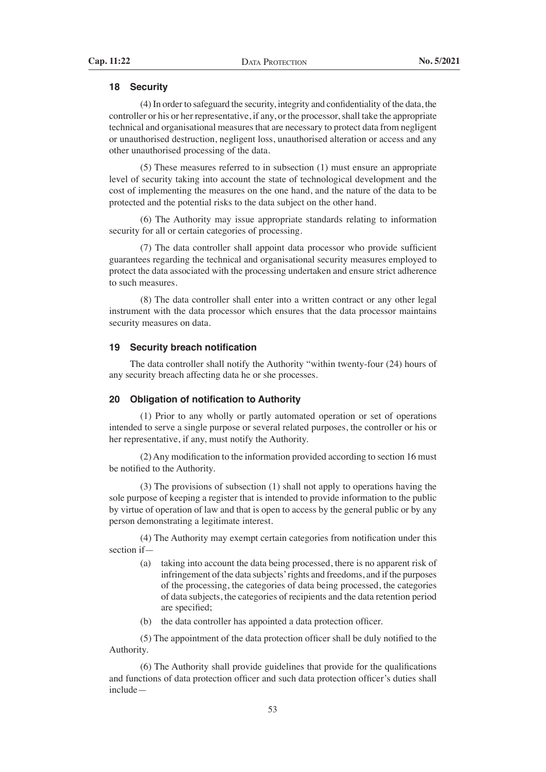## **18 Security**

 (4) In order to safeguard the security, integrity and confidentiality of the data, the controller or his or her representative, if any, or the processor, shall take the appropriate technical and organisational measures that are necessary to protect data from negligent or unauthorised destruction, negligent loss, unauthorised alteration or access and any other unauthorised processing of the data.

 (5) These measures referred to in subsection (1) must ensure an appropriate level of security taking into account the state of technological development and the cost of implementing the measures on the one hand, and the nature of the data to be protected and the potential risks to the data subject on the other hand.

 (6) The Authority may issue appropriate standards relating to information security for all or certain categories of processing.

 (7) The data controller shall appoint data processor who provide sufficient guarantees regarding the technical and organisational security measures employed to protect the data associated with the processing undertaken and ensure strict adherence to such measures.

 (8) The data controller shall enter into a written contract or any other legal instrument with the data processor which ensures that the data processor maintains security measures on data.

## **19 Security breach notification**

 The data controller shall notify the Authority "within twenty-four (24) hours of any security breach affecting data he or she processes.

## **20 Obligation of notification to Authority**

 (1) Prior to any wholly or partly automated operation or set of operations intended to serve a single purpose or several related purposes, the controller or his or her representative, if any, must notify the Authority.

 (2)Any modification to the information provided according to section 16 must be notified to the Authority.

 (3) The provisions of subsection (1) shall not apply to operations having the sole purpose of keeping a register that is intended to provide information to the public by virtue of operation of law and that is open to access by the general public or by any person demonstrating a legitimate interest.

 (4) The Authority may exempt certain categories from notification under this section if—

- (a) taking into account the data being processed, there is no apparent risk of infringement of the data subjects' rights and freedoms, and if the purposes of the processing, the categories of data being processed, the categories of data subjects, the categories of recipients and the data retention period are specified;
- (b) the data controller has appointed a data protection officer.

 (5) The appointment of the data protection officer shall be duly notified to the Authority.

 (6) The Authority shall provide guidelines that provide for the qualifications and functions of data protection officer and such data protection officer's duties shall include—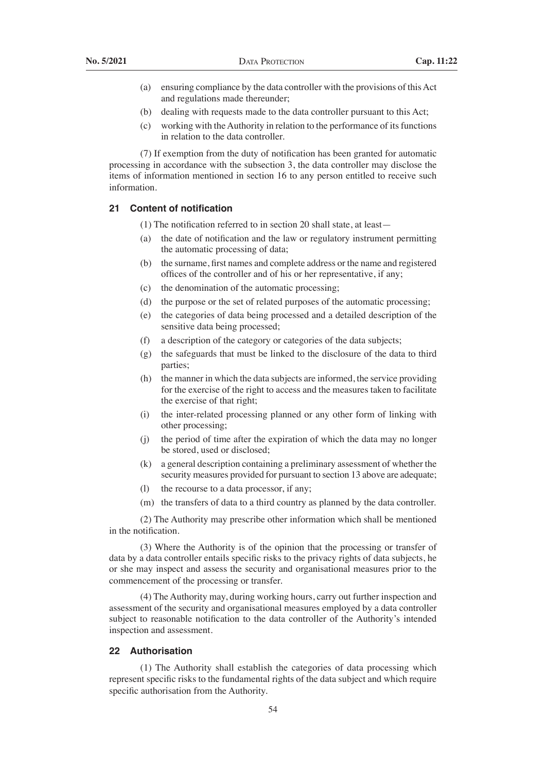- (a) ensuring compliance by the data controller with the provisions of thisAct and regulations made thereunder;
- (b) dealing with requests made to the data controller pursuant to this Act;
- (c) working with the Authority in relation to the performance of its functions in relation to the data controller.

(7) If exemption from the duty of notification has been granted for automatic processing in accordance with the subsection 3, the data controller may disclose the items of information mentioned in section 16 to any person entitled to receive such information.

## **21 Content of notification**

 (1) The notification referred to in section 20 shall state, at least—

- (a) the date of notification and the law or regulatory instrument permitting the automatic processing of data;
- (b) the surname, first names and complete address or the name and registered offices of the controller and of his or her representative, if any;
- (c) the denomination of the automatic processing;
- (d) the purpose or the set of related purposes of the automatic processing;
- (e) the categories of data being processed and a detailed description of the sensitive data being processed;
- (f) a description of the category or categories of the data subjects;
- (g) the safeguards that must be linked to the disclosure of the data to third parties;
- (h) the manner in which the data subjects are informed, the service providing for the exercise of the right to access and the measures taken to facilitate the exercise of that right;
- (i) the inter-related processing planned or any other form of linking with other processing;
- (j) the period of time after the expiration of which the data may no longer be stored, used or disclosed;
- (k) a general description containing a preliminary assessment of whether the security measures provided for pursuant to section 13 above are adequate;
- (l) the recourse to a data processor, if any;
- (m) the transfers of data to a third country as planned by the data controller.

 (2) The Authority may prescribe other information which shall be mentioned in the notification.

(3) Where the Authority is of the opinion that the processing or transfer of data by a data controller entails specific risks to the privacy rights of data subjects, he or she may inspect and assess the security and organisational measures prior to the commencement of the processing or transfer.

(4) The Authority may, during working hours, carry out further inspection and assessment of the security and organisational measures employed by a data controller subject to reasonable notification to the data controller of the Authority's intended inspection and assessment.

## **22 Authorisation**

 (1) The Authority shall establish the categories of data processing which represent specific risks to the fundamental rights of the data subject and which require specific authorisation from the Authority.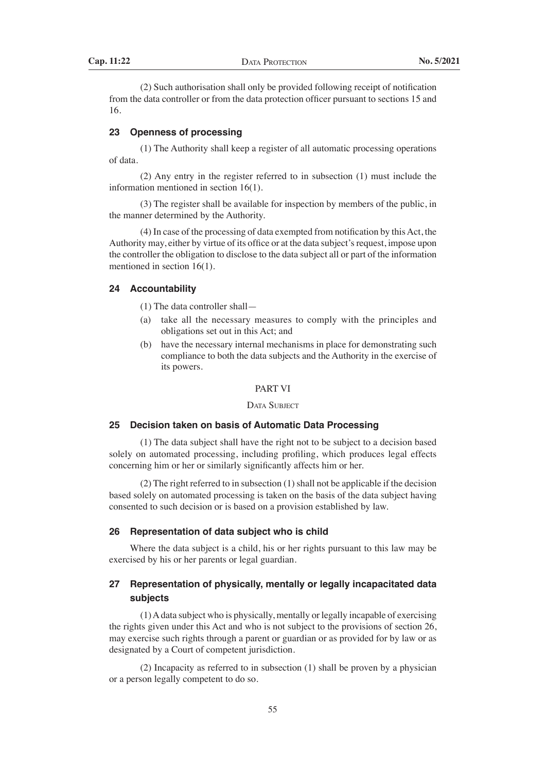(2) Such authorisation shall only be provided following receipt of notification from the data controller or from the data protection officer pursuant to sections 15 and 16.

## **23 Openness of processing**

 (1) The Authority shall keep a register of all automatic processing operations of data.

 (2) Any entry in the register referred to in subsection (1) must include the information mentioned in section 16(1).

 (3) The register shall be available for inspection by members of the public, in the manner determined by the Authority.

 $(4)$  In case of the processing of data exempted from notification by this Act, the Authority may, either by virtue of its office or at the data subject's request, impose upon the controller the obligation to disclose to the data subject all or part of the information mentioned in section 16(1).

# **24 Accountability**

 (1) The data controller shall—

- (a) take all the necessary measures to comply with the principles and obligations set out in this Act; and
- (b) have the necessary internal mechanisms in place for demonstrating such compliance to both the data subjects and the Authority in the exercise of its powers.

## PART VI

DATA SUBJECT

## **25 Decision taken on basis of Automatic Data Processing**

 (1) The data subject shall have the right not to be subject to a decision based solely on automated processing, including profiling, which produces legal effects concerning him or her or similarly significantly affects him or her.

 $(2)$  The right referred to in subsection  $(1)$  shall not be applicable if the decision based solely on automated processing is taken on the basis of the data subject having consented to such decision or is based on a provision established by law.

## **26 Representation of data subject who is child**

Where the data subject is a child, his or her rights pursuant to this law may be exercised by his or her parents or legal guardian.

# **27 Representation of physically, mentally or legally incapacitated data subjects**

 (1)Adata subject who is physically, mentally or legally incapable of exercising the rights given under this Act and who is not subject to the provisions of section 26, may exercise such rights through a parent or guardian or as provided for by law or as designated by a Court of competent jurisdiction.

 (2) Incapacity as referred to in subsection (1) shall be proven by a physician or a person legally competent to do so.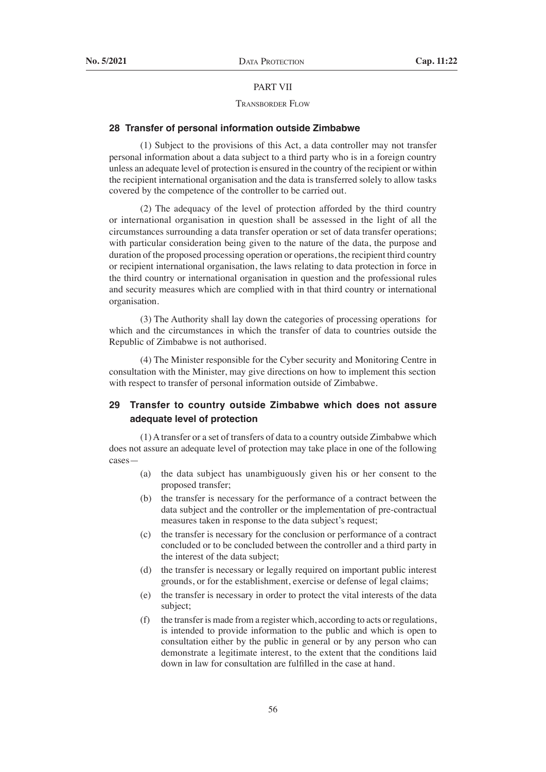## PART VII

## Transborder Flow

## **28 Transfer of personal information outside Zimbabwe**

 (1) Subject to the provisions of this Act, a data controller may not transfer personal information about a data subject to a third party who is in a foreign country unless an adequate level of protection is ensured in the country of the recipient or within the recipient international organisation and the data is transferred solely to allow tasks covered by the competence of the controller to be carried out.

 (2) The adequacy of the level of protection afforded by the third country or international organisation in question shall be assessed in the light of all the circumstances surrounding a data transfer operation or set of data transfer operations; with particular consideration being given to the nature of the data, the purpose and duration of the proposed processing operation or operations, the recipient third country or recipient international organisation, the laws relating to data protection in force in the third country or international organisation in question and the professional rules and security measures which are complied with in that third country or international organisation.

 (3) The Authority shall lay down the categories of processing operations for which and the circumstances in which the transfer of data to countries outside the Republic of Zimbabwe is not authorised.

 (4) The Minister responsible for the Cyber security and Monitoring Centre in consultation with the Minister, may give directions on how to implement this section with respect to transfer of personal information outside of Zimbabwe.

# **29 Transfer to country outside Zimbabwe which does not assure adequate level of protection**

 (1)Atransfer or a set of transfers of data to a country outside Zimbabwe which does not assure an adequate level of protection may take place in one of the following cases—

- (a) the data subject has unambiguously given his or her consent to the proposed transfer;
- (b) the transfer is necessary for the performance of a contract between the data subject and the controller or the implementation of pre-contractual measures taken in response to the data subject's request;
- (c) the transfer is necessary for the conclusion or performance of a contract concluded or to be concluded between the controller and a third party in the interest of the data subject;
- (d) the transfer is necessary or legally required on important public interest grounds, or for the establishment, exercise or defense of legal claims;
- (e) the transfer is necessary in order to protect the vital interests of the data subject;
- $(f)$  the transfer is made from a register which, according to acts or regulations, is intended to provide information to the public and which is open to consultation either by the public in general or by any person who can demonstrate a legitimate interest, to the extent that the conditions laid down in law for consultation are fulfilled in the case at hand.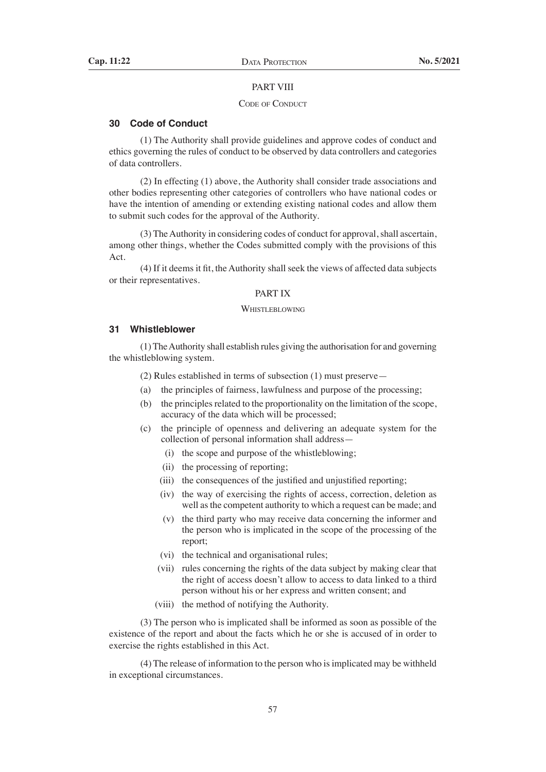#### PART VIII

## CODE OF CONDUCT

## **30 Code of Conduct**

 (1) The Authority shall provide guidelines and approve codes of conduct and ethics governing the rules of conduct to be observed by data controllers and categories of data controllers.

 (2) In effecting (1) above, the Authority shall consider trade associations and other bodies representing other categories of controllers who have national codes or have the intention of amending or extending existing national codes and allow them to submit such codes for the approval of the Authority.

 (3) TheAuthority in considering codes of conduct for approval,shall ascertain, among other things, whether the Codes submitted comply with the provisions of this Act.

 (4) If it deems it fit, the Authority shall seek the views of affected data subjects or their representatives.

## PART IX

## WHISTLEBLOWING

#### **31 Whistleblower**

 (1)TheAuthority shall establish rules giving the authorisation for and governing the whistleblowing system.

 (2) Rules established in terms of subsection (1) must preserve—

- (a) the principles of fairness, lawfulness and purpose of the processing;
- $(b)$  the principles related to the proportionality on the limitation of the scope, accuracy of the data which will be processed;
- (c) the principle of openness and delivering an adequate system for the collection of personal information shall address—
	- (i) the scope and purpose of the whistleblowing;
	- (ii) the processing of reporting;
	- (iii) the consequences of the justified and unjustified reporting;
	- (iv) the way of exercising the rights of access, correction, deletion as well as the competent authority to which a request can be made; and
	- (v) the third party who may receive data concerning the informer and the person who is implicated in the scope of the processing of the report;
	- (vi) the technical and organisational rules;
	- (vii) rules concerning the rights of the data subject by making clear that the right of access doesn't allow to access to data linked to a third person without his or her express and written consent; and
	- (viii) the method of notifying the Authority.

 (3) The person who is implicated shall be informed as soon as possible of the existence of the report and about the facts which he or she is accused of in order to exercise the rights established in this Act.

 (4) The release of information to the person who isimplicated may be withheld in exceptional circumstances.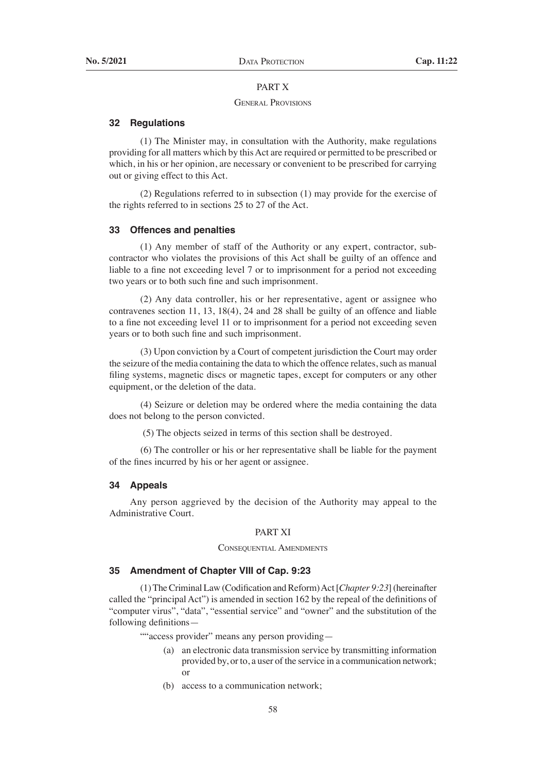# PART X

#### General Provisions

#### **32 Regulations**

 (1) The Minister may, in consultation with the Authority, make regulations providing for all matters which by this Act are required or permitted to be prescribed or which, in his or her opinion, are necessary or convenient to be prescribed for carrying out or giving effect to this Act.

 (2) Regulations referred to in subsection (1) may provide for the exercise of the rights referred to in sections 25 to 27 of the Act.

#### **33 Offences and penalties**

 (1) Any member of staff of the Authority or any expert, contractor, subcontractor who violates the provisions of this Act shall be guilty of an offence and liable to a fine not exceeding level 7 or to imprisonment for a period not exceeding two years or to both such fine and such imprisonment.

 (2) Any data controller, his or her representative, agent or assignee who contravenes section 11, 13, 18(4), 24 and 28 shall be guilty of an offence and liable to a fine not exceeding level 11 or to imprisonment for a period not exceeding seven years or to both such fine and such imprisonment.

 (3) Upon conviction by a Court of competent jurisdiction the Court may order the seizure of the media containing the data to which the offence relates, such as manual filing systems, magnetic discs or magnetic tapes, except for computers or any other equipment, or the deletion of the data.

 (4) Seizure or deletion may be ordered where the media containing the data does not belong to the person convicted.

(5) The objects seized in terms of this section shall be destroyed.

 (6) The controller or his or her representative shall be liable for the payment of the fines incurred by his or her agent or assignee.

## **34 Appeals**

Any person aggrieved by the decision of the Authority may appeal to the Administrative Court.

#### PART XI

## CONSEQUENTIAL AMENDMENTS

## **35 Amendment of Chapter VIII of Cap. 9:23**

 (1)TheCriminal Law (Codification andReform)Act[*Chapter 9:23*] (hereinafter called the "principal Act") is amended in section 162 by the repeal of the definitions of "computer virus", "data", "essential service" and "owner" and the substitution of the following definitions—

""access provider" means any person providing-

- (a) an electronic data transmission service by transmitting information provided by, or to, a user of the service in a communication network; or
- (b) access to a communication network;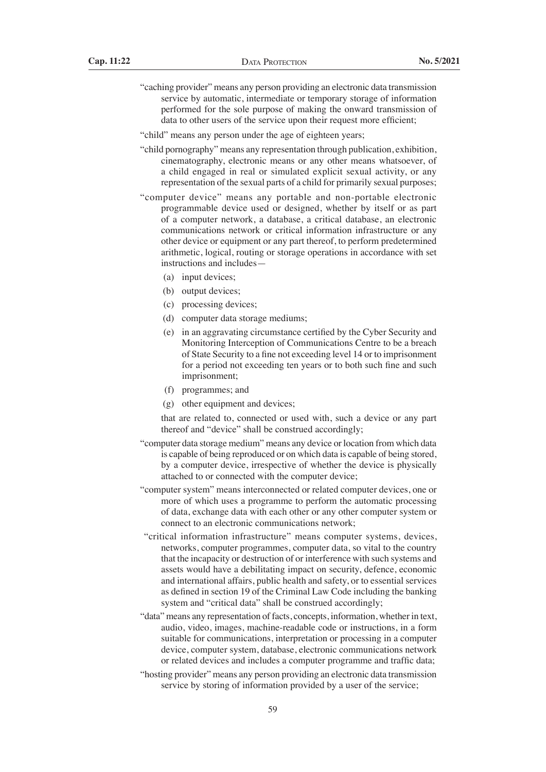- "caching provider" means any person providing an electronic data transmission service by automatic, intermediate or temporary storage of information performed for the sole purpose of making the onward transmission of data to other users of the service upon their request more efficient;
- "child" means any person under the age of eighteen years;
- "child pornography" means any representation through publication, exhibition, cinematography, electronic means or any other means whatsoever, of a child engaged in real or simulated explicit sexual activity, or any representation of the sexual parts of a child for primarily sexual purposes;
- "computer device" means any portable and non-portable electronic programmable device used or designed, whether by itself or as part of a computer network, a database, a critical database, an electronic communications network or critical information infrastructure or any other device or equipment or any part thereof, to perform predetermined arithmetic, logical, routing or storage operations in accordance with set instructions and includes—
	- (a) input devices:
	- (b) output devices;
	- (c) processing devices;
	- (d) computer data storage mediums;
	- (e) in an aggravating circumstance certified by the Cyber Security and Monitoring Interception of Communications Centre to be a breach of State Security to a fine not exceeding level 14 or to imprisonment for a period not exceeding ten years or to both such fine and such imprisonment;
	- (f) programmes; and
	- (g) other equipment and devices;

 that are related to, connected or used with, such a device or any part thereof and "device" shall be construed accordingly;

- "computer data storage medium" means any device or location from which data is capable of being reproduced or on which data is capable of being stored, by a computer device, irrespective of whether the device is physically attached to or connected with the computer device;
- "computer system" means interconnected or related computer devices, one or more of which uses a programme to perform the automatic processing of data, exchange data with each other or any other computer system or connect to an electronic communications network;
- "critical information infrastructure" means computer systems, devices, networks, computer programmes, computer data, so vital to the country that the incapacity or destruction of or interference with such systems and assets would have a debilitating impact on security, defence, economic and international affairs, public health and safety, or to essential services as defined in section 19 of the Criminal Law Code including the banking system and "critical data" shall be construed accordingly;
- "data" means any representation of facts, concepts, information, whether in text, audio, video, images, machine-readable code or instructions, in a form suitable for communications, interpretation or processing in a computer device, computer system, database, electronic communications network or related devices and includes a computer programme and traffic data;
- "hosting provider" means any person providing an electronic data transmission service by storing of information provided by a user of the service;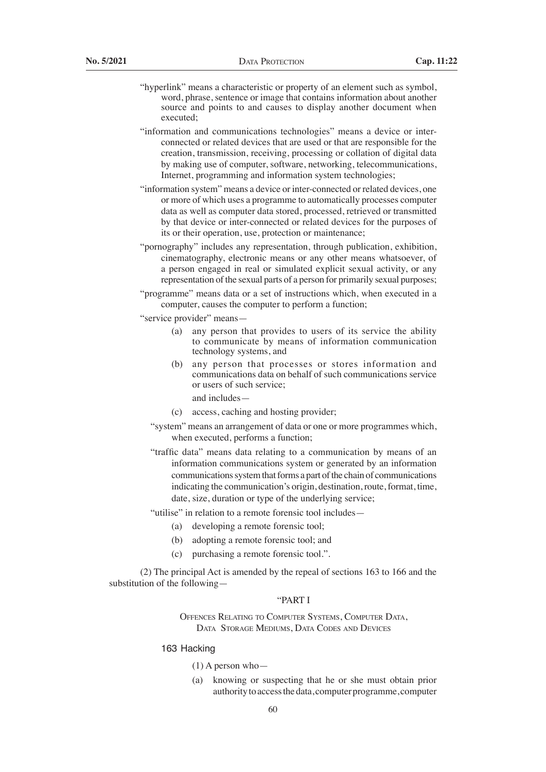- "hyperlink" means a characteristic or property of an element such as symbol, word, phrase, sentence or image that contains information about another source and points to and causes to display another document when executed;
- "information and communications technologies" means a device or interconnected or related devices that are used or that are responsible for the creation, transmission, receiving, processing or collation of digital data by making use of computer, software, networking, telecommunications, Internet, programming and information system technologies;
- "information system" means a device or inter-connected or related devices, one or more of which uses a programme to automatically processes computer data as well as computer data stored, processed, retrieved or transmitted by that device or inter-connected or related devices for the purposes of its or their operation, use, protection or maintenance;
- "pornography" includes any representation, through publication, exhibition, cinematography, electronic means or any other means whatsoever, of a person engaged in real or simulated explicit sexual activity, or any representation of the sexual parts of a person for primarily sexual purposes;
- "programme" means data or a set of instructions which, when executed in a computer, causes the computer to perform a function;
- "service provider" means—
	- (a) any person that provides to users of its service the ability to communicate by means of information communication technology systems, and
	- (b) any person that processes or stores information and communications data on behalf of such communications service or users of such service;

and includes—

- (c) access, caching and hosting provider;
- "system" means an arrangement of data or one or more programmes which, when executed, performs a function;
- "traffic data" means data relating to a communication by means of an information communications system or generated by an information communications system that forms a part of the chain of communications indicating the communication's origin, destination, route, format, time, date, size, duration or type of the underlying service;

"utilise" in relation to a remote forensic tool includes—

- (a) developing a remote forensic tool;
	- (b) adopting a remote forensic tool; and
	- (c) purchasing a remote forensic tool.".

 (2) The principal Act is amended by the repeal of sections 163 to 166 and the substitution of the following—

## "PART I

Offences Relating to Computer Systems, Computer Data, Data Storage Mediums, Data Codes and Devices

## 163 Hacking

- (1) A person who—
- (a) knowing or suspecting that he or she must obtain prior authority to access the data, computer programme, computer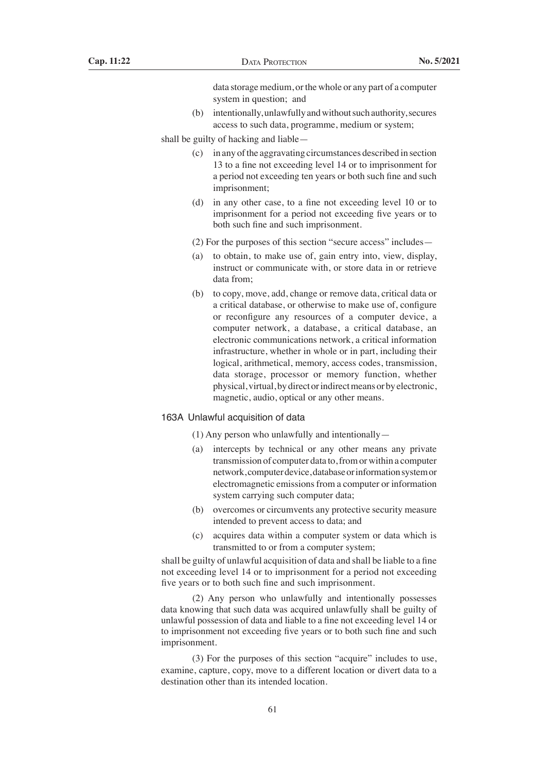data storage medium, or the whole or any part of a computer system in question; and

(b) intentionally, unlawfully and without such authority, secures access to such data, programme, medium or system;

shall be guilty of hacking and liable—

- (c) in any ofthe aggravating circumstances described in section 13 to a fine not exceeding level 14 or to imprisonment for a period not exceeding ten years or both such fine and such imprisonment;
- (d) in any other case, to a fine not exceeding level 10 or to imprisonment for a period not exceeding five years or to both such fine and such imprisonment.
- (2) For the purposes of this section "secure access" includes—
- (a) to obtain, to make use of, gain entry into, view, display, instruct or communicate with, or store data in or retrieve data from;
- (b) to copy, move, add, change or remove data, critical data or a critical database, or otherwise to make use of, configure or reconfigure any resources of a computer device, a computer network, a database, a critical database, an electronic communications network, a critical information infrastructure, whether in whole or in part, including their logical, arithmetical, memory, access codes, transmission, data storage, processor or memory function, whether physical, virtual, by direct or indirect means or by electronic, magnetic, audio, optical or any other means.

## 163A Unlawful acquisition of data

 (1) Any person who unlawfully and intentionally—

- (a) intercepts by technical or any other means any private transmission of computer data to, from or within a computer network, computer device, database or information system or electromagnetic emissions from a computer or information system carrying such computer data;
- (b) overcomes or circumvents any protective security measure intended to prevent access to data; and
- (c) acquires data within a computer system or data which is transmitted to or from a computer system;

shall be guilty of unlawful acquisition of data and shall be liable to a fine not exceeding level 14 or to imprisonment for a period not exceeding five years or to both such fine and such imprisonment.

 (2) Any person who unlawfully and intentionally possesses data knowing that such data was acquired unlawfully shall be guilty of unlawful possession of data and liable to a fine not exceeding level 14 or to imprisonment not exceeding five years or to both such fine and such imprisonment.

 (3) For the purposes of this section "acquire" includes to use, examine, capture, copy, move to a different location or divert data to a destination other than its intended location.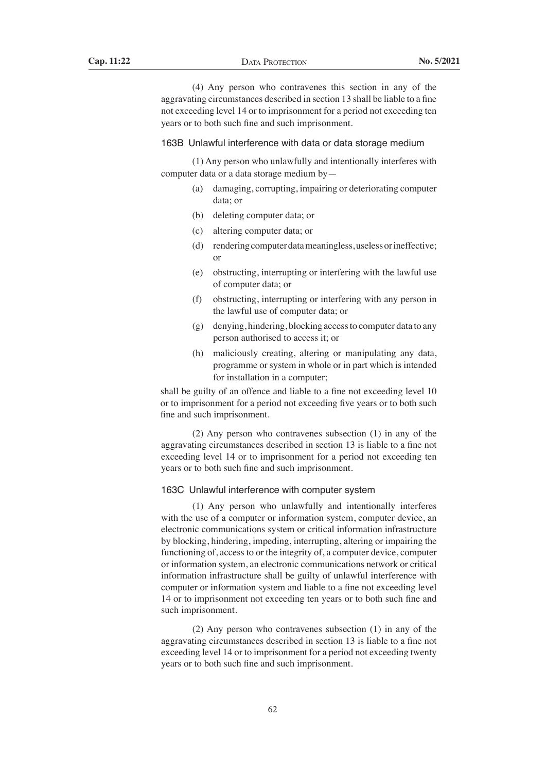(4) Any person who contravenes this section in any of the aggravating circumstances described in section 13 shall be liable to a fine not exceeding level 14 or to imprisonment for a period not exceeding ten years or to both such fine and such imprisonment.

#### 163B Unlawful interference with data or data storage medium

 (1) Any person who unlawfully and intentionally interferes with computer data or a data storage medium by—

- (a) damaging, corrupting, impairing or deteriorating computer data; or
- (b) deleting computer data; or
- (c) altering computer data; or
- (d) rendering computer data meaningless, useless or ineffective; or
- (e) obstructing, interrupting or interfering with the lawful use of computer data; or
- (f) obstructing, interrupting or interfering with any person in the lawful use of computer data; or
- (g) denying, hindering, blocking accessto computer data to any person authorised to access it; or
- (h) maliciously creating, altering or manipulating any data, programme or system in whole or in part which is intended for installation in a computer;

shall be guilty of an offence and liable to a fine not exceeding level 10 or to imprisonment for a period not exceeding five years or to both such fine and such imprisonment.

 (2) Any person who contravenes subsection (1) in any of the aggravating circumstances described in section 13 is liable to a fine not exceeding level 14 or to imprisonment for a period not exceeding ten years or to both such fine and such imprisonment.

## 163C Unlawful interference with computer system

 (1) Any person who unlawfully and intentionally interferes with the use of a computer or information system, computer device, an electronic communications system or critical information infrastructure by blocking, hindering, impeding, interrupting, altering or impairing the functioning of, access to or the integrity of, a computer device, computer or information system, an electronic communications network or critical information infrastructure shall be guilty of unlawful interference with computer or information system and liable to a fine not exceeding level 14 or to imprisonment not exceeding ten years or to both such fine and such imprisonment.

 (2) Any person who contravenes subsection (1) in any of the aggravating circumstances described in section 13 is liable to a fine not exceeding level 14 or to imprisonment for a period not exceeding twenty years or to both such fine and such imprisonment.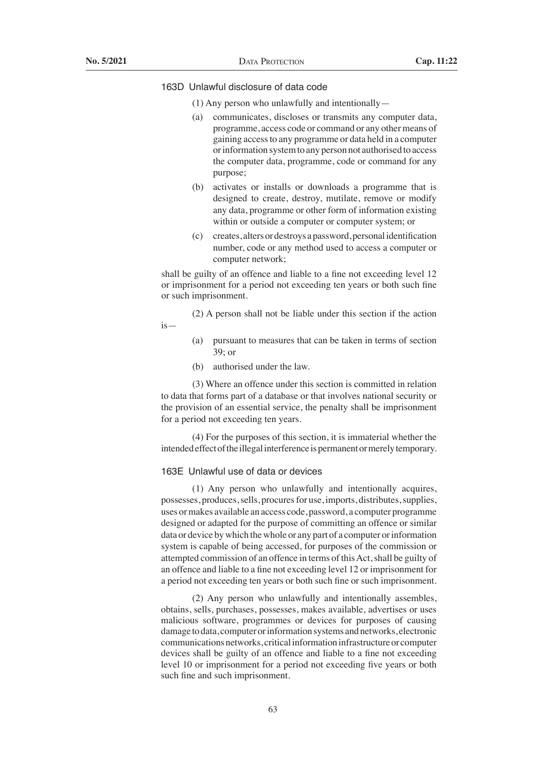## 163D Unlawful disclosure of data code

- (1) Any person who unlawfully and intentionally—
- (a) communicates, discloses or transmits any computer data, programme, access code or command or any other means of gaining access to any programme or data held in a computer or information system to any person not authorised to access the computer data, programme, code or command for any purpose;
- (b) activates or installs or downloads a programme that is designed to create, destroy, mutilate, remove or modify any data, programme or other form of information existing within or outside a computer or computer system; or
- (c) creates, altersordestroys apassword,personalidentification number, code or any method used to access a computer or computer network;

shall be guilty of an offence and liable to a fine not exceeding level 12 or imprisonment for a period not exceeding ten years or both such fine or such imprisonment.

 (2) A person shall not be liable under this section if the action is—

- (a) pursuant to measures that can be taken in terms of section 39; or
- (b) authorised under the law.

 (3) Where an offence under this section is committed in relation to data that forms part of a database or that involves national security or the provision of an essential service, the penalty shall be imprisonment for a period not exceeding ten years.

 (4) For the purposes of this section, it is immaterial whether the intended effect of the illegal interference is permanent or merely temporary.

## 163E Unlawful use of data or devices

 (1) Any person who unlawfully and intentionally acquires, possesses, produces, sells, procures for use, imports, distributes, supplies, uses or makes available an access code, password, a computer programme designed or adapted for the purpose of committing an offence or similar data or device by which the whole or any part of a computer or information system is capable of being accessed, for purposes of the commission or attempted commission of an offence in terms of this Act, shall be guilty of an offence and liable to a fine not exceeding level 12 or imprisonment for a period not exceeding ten years or both such fine or such imprisonment.

 (2) Any person who unlawfully and intentionally assembles, obtains, sells, purchases, possesses, makes available, advertises or uses malicious software, programmes or devices for purposes of causing damage to data, computer or information systems and networks, electronic communications networks, critical information infrastructure or computer devices shall be guilty of an offence and liable to a fine not exceeding level 10 or imprisonment for a period not exceeding five years or both such fine and such imprisonment.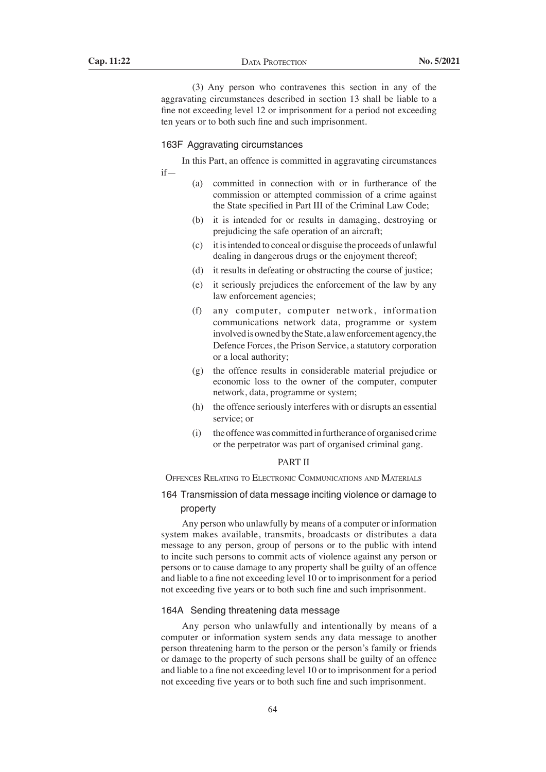(3) Any person who contravenes this section in any of the aggravating circumstances described in section 13 shall be liable to a fine not exceeding level 12 or imprisonment for a period not exceeding ten years or to both such fine and such imprisonment.

## 163F Aggravating circumstances

 In this Part, an offence is committed in aggravating circumstances if—

- (a) committed in connection with or in furtherance of the commission or attempted commission of a crime against the State specified in Part III of the Criminal Law Code;
- (b) it is intended for or results in damaging, destroying or prejudicing the safe operation of an aircraft;
- (c) it isintended to conceal or disguise the proceeds of unlawful dealing in dangerous drugs or the enjoyment thereof;
- (d) it results in defeating or obstructing the course of justice;
- (e) it seriously prejudices the enforcement of the law by any law enforcement agencies;
- (f) any computer, computer network, information communications network data, programme or system involved is owned by the State, a law enforcement agency, the Defence Forces, the Prison Service, a statutory corporation or a local authority;
- (g) the offence results in considerable material prejudice or economic loss to the owner of the computer, computer network, data, programme or system;
- (h) the offence seriously interferes with or disrupts an essential service; or
- (i) the offence was committed in furtherance of organised crime or the perpetrator was part of organised criminal gang.

## PART II

Offences Relating to Electronic Communications and Materials

# 164 Transmission of data message inciting violence or damage to property

 Any person who unlawfully by means of a computer or information system makes available, transmits, broadcasts or distributes a data message to any person, group of persons or to the public with intend to incite such persons to commit acts of violence against any person or persons or to cause damage to any property shall be guilty of an offence and liable to a fine not exceeding level 10 or to imprisonment for a period not exceeding five years or to both such fine and such imprisonment.

## 164A Sending threatening data message

 Any person who unlawfully and intentionally by means of a computer or information system sends any data message to another person threatening harm to the person or the person's family or friends or damage to the property of such persons shall be guilty of an offence and liable to a fine not exceeding level 10 or to imprisonment for a period not exceeding five years or to both such fine and such imprisonment.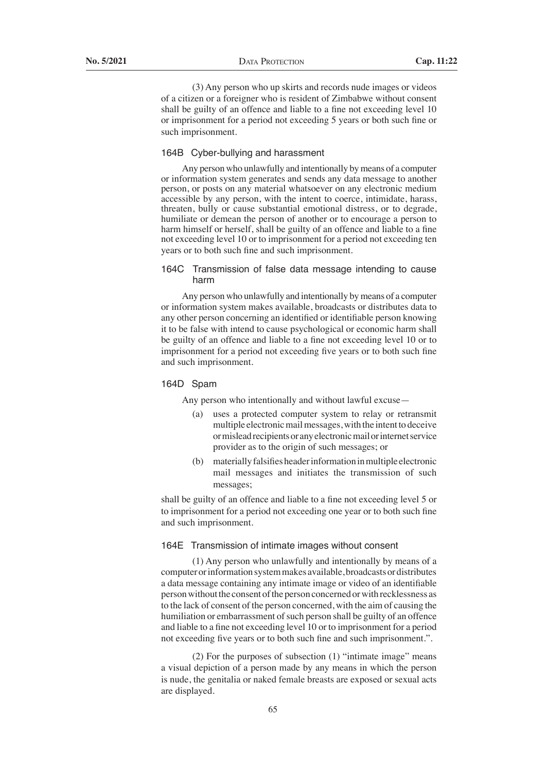(3) Any person who up skirts and records nude images or videos of a citizen or a foreigner who is resident of Zimbabwe without consent shall be guilty of an offence and liable to a fine not exceeding level 10 or imprisonment for a period not exceeding 5 years or both such fine or such imprisonment.

### 164B Cyber-bullying and harassment

 Any person who unlawfully and intentionally by means of a computer or information system generates and sends any data message to another person, or posts on any material whatsoever on any electronic medium accessible by any person, with the intent to coerce, intimidate, harass, threaten, bully or cause substantial emotional distress, or to degrade, humiliate or demean the person of another or to encourage a person to harm himself or herself, shall be guilty of an offence and liable to a fine not exceeding level 10 or to imprisonment for a period not exceeding ten years or to both such fine and such imprisonment.

## 164C Transmission of false data message intending to cause harm

 Any person who unlawfully and intentionally by means of a computer or information system makes available, broadcasts or distributes data to any other person concerning an identified or identifiable person knowing it to be false with intend to cause psychological or economic harm shall be guilty of an offence and liable to a fine not exceeding level 10 or to imprisonment for a period not exceeding five years or to both such fine and such imprisonment.

#### 164D Spam

Any person who intentionally and without lawful excuse—

- (a) uses a protected computer system to relay or retransmit multiple electronic mail messages, with the intent to deceive or mislead recipients or any electronic mail or internet service provider as to the origin of such messages; or
- (b) materially falsifies header information in multiple electronic mail messages and initiates the transmission of such messages;

 shall be guilty of an offence and liable to a fine not exceeding level 5 or to imprisonment for a period not exceeding one year or to both such fine and such imprisonment.

## 164E Transmission of intimate images without consent

 (1) Any person who unlawfully and intentionally by means of a computer or information system makes available, broadcasts or distributes a data message containing any intimate image or video of an identifiable person without the consent of the person concerned or with recklessness as to the lack of consent of the person concerned, with the aim of causing the humiliation or embarrassment of such person shall be guilty of an offence and liable to a fine not exceeding level 10 or to imprisonment for a period not exceeding five years or to both such fine and such imprisonment.".

 (2) For the purposes of subsection (1) "intimate image" means a visual depiction of a person made by any means in which the person is nude, the genitalia or naked female breasts are exposed or sexual acts are displayed.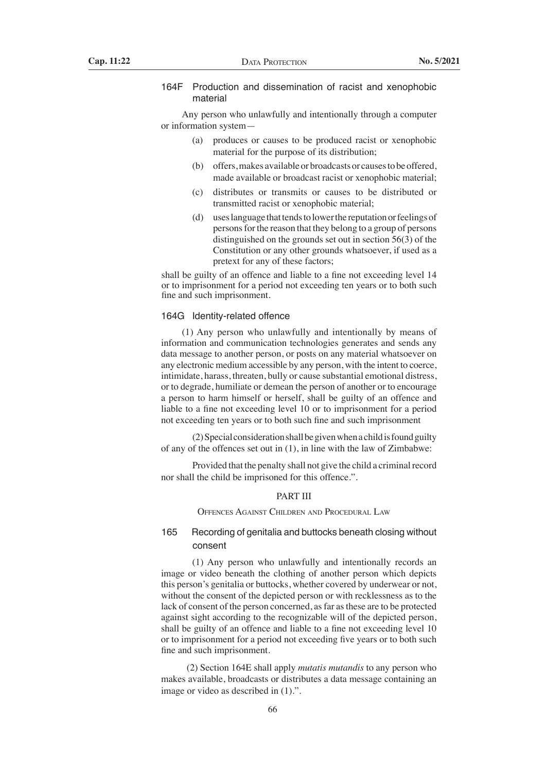## 164F Production and dissemination of racist and xenophobic material

 Any person who unlawfully and intentionally through a computer or information system—

- (a) produces or causes to be produced racist or xenophobic material for the purpose of its distribution;
- (b) offers, makes available or broadcasts or causes to be offered, made available or broadcast racist or xenophobic material;
- (c) distributes or transmits or causes to be distributed or transmitted racist or xenophobic material;
- (d) uses language that tends to lower the reputation or feelings of persons for the reason that they belong to a group of persons distinguished on the grounds set out in section 56(3) of the Constitution or any other grounds whatsoever, if used as a pretext for any of these factors;

 shall be guilty of an offence and liable to a fine not exceeding level 14 or to imprisonment for a period not exceeding ten years or to both such fine and such imprisonment.

#### 164G Identity-related offence

 (1) Any person who unlawfully and intentionally by means of information and communication technologies generates and sends any data message to another person, or posts on any material whatsoever on any electronic medium accessible by any person, with the intent to coerce, intimidate, harass, threaten, bully or cause substantial emotional distress, or to degrade, humiliate or demean the person of another or to encourage a person to harm himself or herself, shall be guilty of an offence and liable to a fine not exceeding level 10 or to imprisonment for a period not exceeding ten years or to both such fine and such imprisonment

 $(2)$  Special consideration shall be given when a child is found guilty of any of the offences set out in (1), in line with the law of Zimbabwe:

Provided that the penalty shall not give the child a criminal record nor shall the child be imprisoned for this offence.".

## PART III

Offences Against Children and Procedural Law

# 165 Recording of genitalia and buttocks beneath closing without consent

 (1) Any person who unlawfully and intentionally records an image or video beneath the clothing of another person which depicts this person's genitalia or buttocks, whether covered by underwear or not, without the consent of the depicted person or with recklessness as to the lack of consent of the person concerned, as far as these are to be protected against sight according to the recognizable will of the depicted person, shall be guilty of an offence and liable to a fine not exceeding level 10 or to imprisonment for a period not exceeding five years or to both such fine and such imprisonment.

 (2) Section 164E shall apply *mutatis mutandis* to any person who makes available, broadcasts or distributes a data message containing an image or video as described in (1).".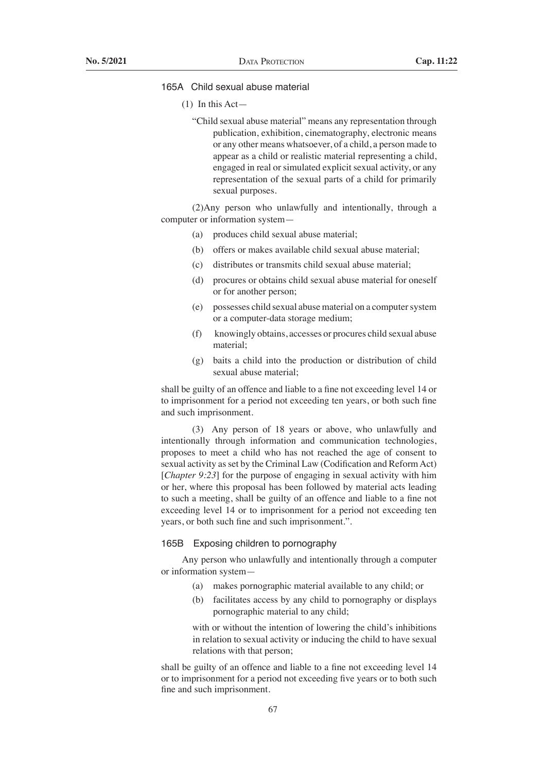# 165A Child sexual abuse material

- (1) In this Act—
	- "Child sexual abuse material" means any representation through publication, exhibition, cinematography, electronic means or any other means whatsoever, of a child, a person made to appear as a child or realistic material representing a child, engaged in real or simulated explicit sexual activity, or any representation of the sexual parts of a child for primarily sexual purposes.

 (2)Any person who unlawfully and intentionally, through a computer or information system—

- (a) produces child sexual abuse material;
- (b) offers or makes available child sexual abuse material:
- (c) distributes or transmits child sexual abuse material;
- (d) procures or obtains child sexual abuse material for oneself or for another person;
- (e) possesses child sexual abuse material on a computersystem or a computer-data storage medium;
- (f) knowingly obtains, accesses or procures child sexual abuse material;
- (g) baits a child into the production or distribution of child sexual abuse material;

 shall be guilty of an offence and liable to a fine not exceeding level 14 or to imprisonment for a period not exceeding ten years, or both such fine and such imprisonment.

 (3) Any person of 18 years or above, who unlawfully and intentionally through information and communication technologies, proposes to meet a child who has not reached the age of consent to sexual activity as set by the Criminal Law (Codification and Reform Act) [*Chapter 9:23*] for the purpose of engaging in sexual activity with him or her, where this proposal has been followed by material acts leading to such a meeting, shall be guilty of an offence and liable to a fine not exceeding level 14 or to imprisonment for a period not exceeding ten years, or both such fine and such imprisonment.".

## 165B Exposing children to pornography

 Any person who unlawfully and intentionally through a computer or information system—

- (a) makes pornographic material available to any child; or
- (b) facilitates access by any child to pornography or displays pornographic material to any child;

with or without the intention of lowering the child's inhibitions in relation to sexual activity or inducing the child to have sexual relations with that person;

shall be guilty of an offence and liable to a fine not exceeding level 14 or to imprisonment for a period not exceeding five years or to both such fine and such imprisonment.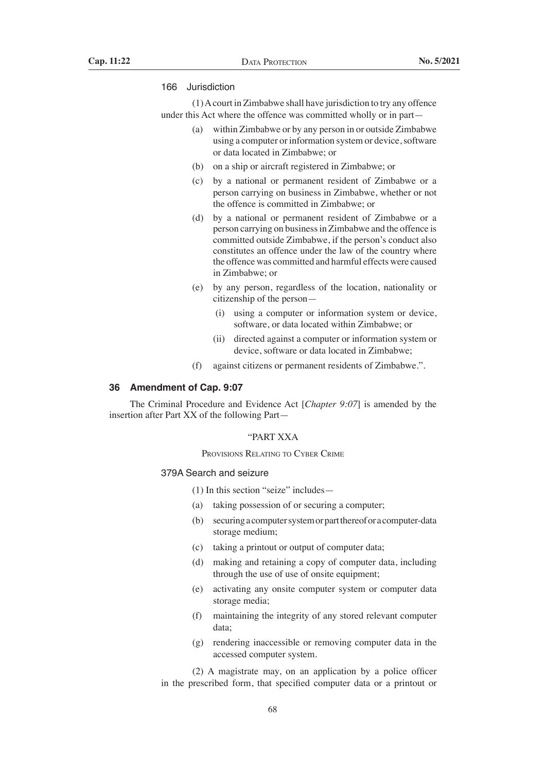## 166 Jurisdiction

 (1)Acourt in Zimbabwe shall have jurisdiction to try any offence under this Act where the offence was committed wholly or in part—

- (a) within Zimbabwe or by any person in or outside Zimbabwe using a computer or information system or device, software or data located in Zimbabwe; or
- (b) on a ship or aircraft registered in Zimbabwe; or
- (c) by a national or permanent resident of Zimbabwe or a person carrying on business in Zimbabwe, whether or not the offence is committed in Zimbabwe; or
- (d) by a national or permanent resident of Zimbabwe or a person carrying on business in Zimbabwe and the offence is committed outside Zimbabwe, if the person's conduct also constitutes an offence under the law of the country where the offence was committed and harmful effects were caused in Zimbabwe; or
- (e) by any person, regardless of the location, nationality or citizenship of the person—
	- (i) using a computer or information system or device, software, or data located within Zimbabwe; or
	- (ii) directed against a computer or information system or device, software or data located in Zimbabwe;
- (f) against citizens or permanent residents of Zimbabwe.".

## **36 Amendment of Cap. 9:07**

The Criminal Procedure and Evidence Act [*Chapter 9:07*] is amended by the insertion after Part XX of the following Part—

## "PART XXA

Provisions Relating to Cyber Crime

## 379A Search and seizure

- (1) In this section "seize" includes—
- (a) taking possession of or securing a computer;
- (b) securingacomputersystemorpartthereoforacomputer-data storage medium;
- (c) taking a printout or output of computer data;
- (d) making and retaining a copy of computer data, including through the use of use of onsite equipment;
- (e) activating any onsite computer system or computer data storage media;
- (f) maintaining the integrity of any stored relevant computer data;
- (g) rendering inaccessible or removing computer data in the accessed computer system.

 (2) A magistrate may, on an application by a police officer in the prescribed form, that specified computer data or a printout or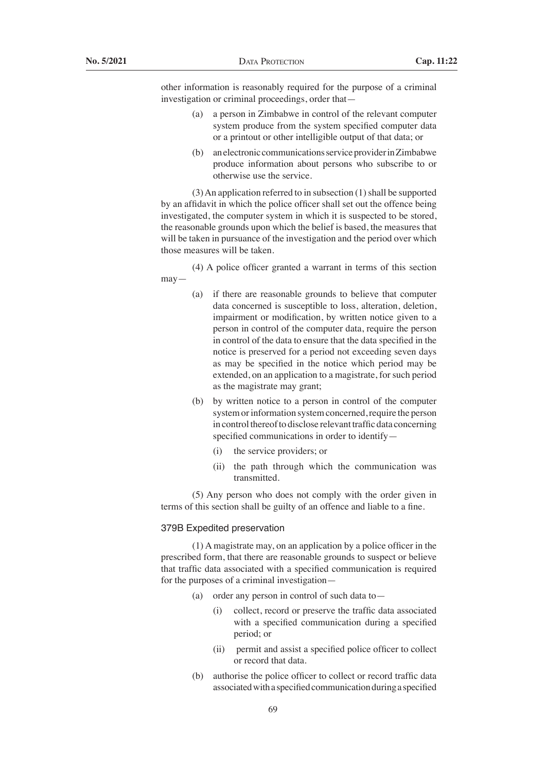other information is reasonably required for the purpose of a criminal investigation or criminal proceedings, order that—

- (a) a person in Zimbabwe in control of the relevant computer system produce from the system specified computer data or a printout or other intelligible output of that data; or
- (b) an electronic communications service provider in Zimbabwe produce information about persons who subscribe to or otherwise use the service.

 $(3)$  An application referred to in subsection  $(1)$  shall be supported by an affidavit in which the police officer shall set out the offence being investigated, the computer system in which it is suspected to be stored, the reasonable grounds upon which the belief is based, the measures that will be taken in pursuance of the investigation and the period over which those measures will be taken.

 (4) A police officer granted a warrant in terms of this section may—

- (a) if there are reasonable grounds to believe that computer data concerned is susceptible to loss, alteration, deletion, impairment or modification, by written notice given to a person in control of the computer data, require the person in control of the data to ensure that the data specified in the notice is preserved for a period not exceeding seven days as may be specified in the notice which period may be extended, on an application to a magistrate, for such period as the magistrate may grant;
- (b) by written notice to a person in control of the computer system or information system concerned, require the person in control thereof to disclose relevant traffic data concerning specified communications in order to identify—
	- (i) the service providers; or
	- (ii) the path through which the communication was transmitted.

 (5) Any person who does not comply with the order given in terms of this section shall be guilty of an offence and liable to a fine.

## 379B Expedited preservation

 (1) A magistrate may, on an application by a police officer in the prescribed form, that there are reasonable grounds to suspect or believe that traffic data associated with a specified communication is required for the purposes of a criminal investigation—

- (a) order any person in control of such data to
	- (i) collect, record or preserve the traffic data associated with a specified communication during a specified period; or
	- (ii) permit and assist a specified police officer to collect or record that data.
- (b) authorise the police officer to collect or record traffic data associated with a specified communication during a specified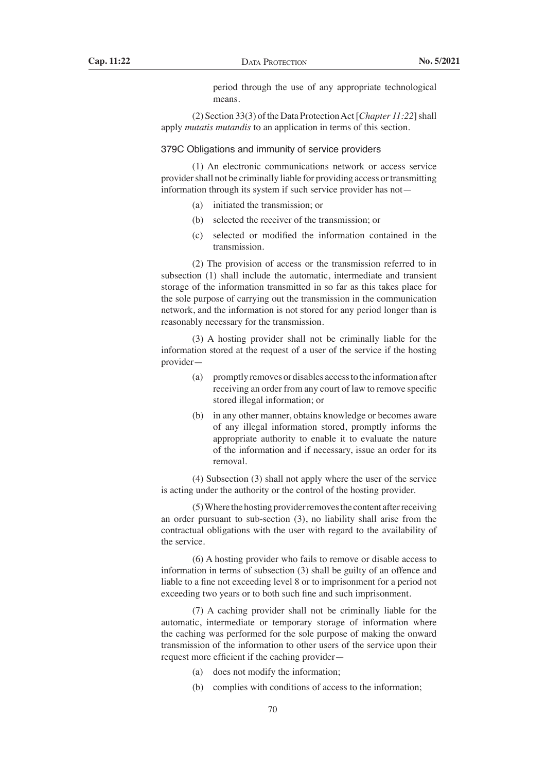period through the use of any appropriate technological means.

 (2) Section 33(3) ofthe Data ProtectionAct[*Chapter 11:22*] shall apply *mutatis mutandis* to an application in terms of this section.

#### 379C Obligations and immunity of service providers

 (1) An electronic communications network or access service provider shall not be criminally liable for providing access or transmitting information through its system if such service provider has not—

- (a) initiated the transmission; or
- (b) selected the receiver of the transmission; or
- (c) selected or modified the information contained in the transmission.

 (2) The provision of access or the transmission referred to in subsection (1) shall include the automatic, intermediate and transient storage of the information transmitted in so far as this takes place for the sole purpose of carrying out the transmission in the communication network, and the information is not stored for any period longer than is reasonably necessary for the transmission.

 (3) A hosting provider shall not be criminally liable for the information stored at the request of a user of the service if the hosting provider—

- (a) promptly removes or disables accessto the information after receiving an order from any court of law to remove specific stored illegal information; or
- (b) in any other manner, obtains knowledge or becomes aware of any illegal information stored, promptly informs the appropriate authority to enable it to evaluate the nature of the information and if necessary, issue an order for its removal.

 (4) Subsection (3) shall not apply where the user of the service is acting under the authority or the control of the hosting provider.

 $(5)$  Where the hosting provider removes the content after receiving an order pursuant to sub-section (3), no liability shall arise from the contractual obligations with the user with regard to the availability of the service.

 (6) A hosting provider who fails to remove or disable access to information in terms of subsection (3) shall be guilty of an offence and liable to a fine not exceeding level 8 or to imprisonment for a period not exceeding two years or to both such fine and such imprisonment.

 (7) A caching provider shall not be criminally liable for the automatic, intermediate or temporary storage of information where the caching was performed for the sole purpose of making the onward transmission of the information to other users of the service upon their request more efficient if the caching provider—

- (a) does not modify the information;
- (b) complies with conditions of access to the information;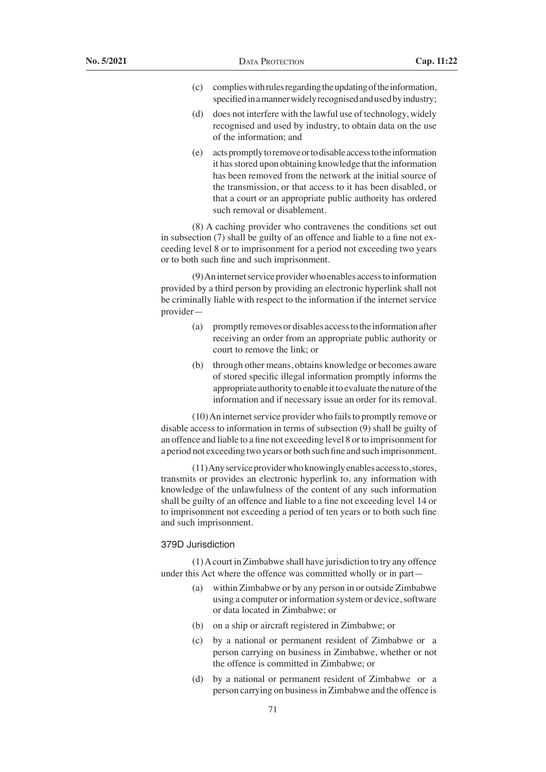- $(c)$  complies with rules regarding the updating of the information, specified in a manner widely recognised and used by industry;
- (d) does not interfere with the lawful use of technology, widely recognised and used by industry, to obtain data on the use of the information; and
- (e) actspromptlytoremoveortodisableaccesstotheinformation it has stored upon obtaining knowledge that the information has been removed from the network at the initial source of the transmission, or that access to it has been disabled, or that a court or an appropriate public authority has ordered such removal or disablement.

 (8) A caching provider who contravenes the conditions set out in subsection (7) shall be guilty of an offence and liable to a fine not exceeding level 8 or to imprisonment for a period not exceeding two years or to both such fine and such imprisonment.

(9) An internet service provider who enables access to information provided by a third person by providing an electronic hyperlink shall not be criminally liable with respect to the information if the internet service provider—

- (a) promptly removes or disables accessto the informationafter receiving an order from an appropriate public authority or court to remove the link; or
- (b) through other means, obtains knowledge or becomes aware of stored specific illegal information promptly informs the appropriate authority to enable it to evaluate the nature of the information and if necessary issue an order for its removal.

 $(10)$  An internet service provider who fails to promptly remove or disable access to information in terms of subsection (9) shall be guilty of an offence and liable to a fine not exceeding level 8 or to imprisonment for a period not exceeding two years or both such fine and such imprisonment.

 $(11)$ Any service provider who knowingly enables access to, stores, transmits or provides an electronic hyperlink to, any information with knowledge of the unlawfulness of the content of any such information shall be guilty of an offence and liable to a fine not exceeding level 14 or to imprisonment not exceeding a period of ten years or to both such fine and such imprisonment.

## 379D Jurisdiction

 (1)Acourt in Zimbabwe shall have jurisdiction to try any offence under this Act where the offence was committed wholly or in part—

- (a) within Zimbabwe or by any person in or outside Zimbabwe using a computer or information system or device, software or data located in Zimbabwe; or
- (b) on a ship or aircraft registered in Zimbabwe; or
- (c) by a national or permanent resident of Zimbabwe or a person carrying on business in Zimbabwe, whether or not the offence is committed in Zimbabwe; or
- (d) by a national or permanent resident of Zimbabwe or a person carrying on business in Zimbabwe and the offence is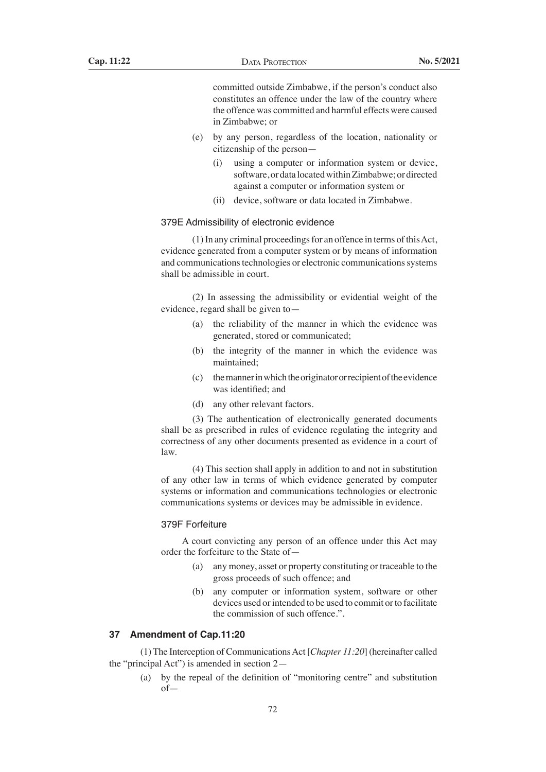committed outside Zimbabwe, if the person's conduct also constitutes an offence under the law of the country where the offence was committed and harmful effects were caused in Zimbabwe; or

- (e) by any person, regardless of the location, nationality or citizenship of the person—
	- (i) using a computer or information system or device, software, or data located within Zimbabwe; or directed against a computer or information system or
	- (ii) device, software or data located in Zimbabwe.

## 379E Admissibility of electronic evidence

(1) In any criminal proceedings for an offence in terms of this Act, evidence generated from a computer system or by means of information and communications technologies or electronic communications systems shall be admissible in court.

 (2) In assessing the admissibility or evidential weight of the evidence, regard shall be given to—

- (a) the reliability of the manner in which the evidence was generated, stored or communicated;
- (b) the integrity of the manner in which the evidence was maintained;
- (c) themannerinwhichtheoriginatororrecipientoftheevidence was identified; and
- (d) any other relevant factors.

 (3) The authentication of electronically generated documents shall be as prescribed in rules of evidence regulating the integrity and correctness of any other documents presented as evidence in a court of law.

 (4) This section shall apply in addition to and not in substitution of any other law in terms of which evidence generated by computer systems or information and communications technologies or electronic communications systems or devices may be admissible in evidence.

#### 379F Forfeiture

 A court convicting any person of an offence under this Act may order the forfeiture to the State of—

- (a) any money, asset or property constituting or traceable to the gross proceeds of such offence; and
- (b) any computer or information system, software or other devices used or intended to be used to commit or to facilitate the commission of such offence.".

#### **37 Amendment of Cap.11:20**

 (1)The Interception of CommunicationsAct [*Chapter 11:20*] (hereinafter called the "principal Act") is amended in section 2—

 (a) by the repeal of the definition of "monitoring centre" and substitution of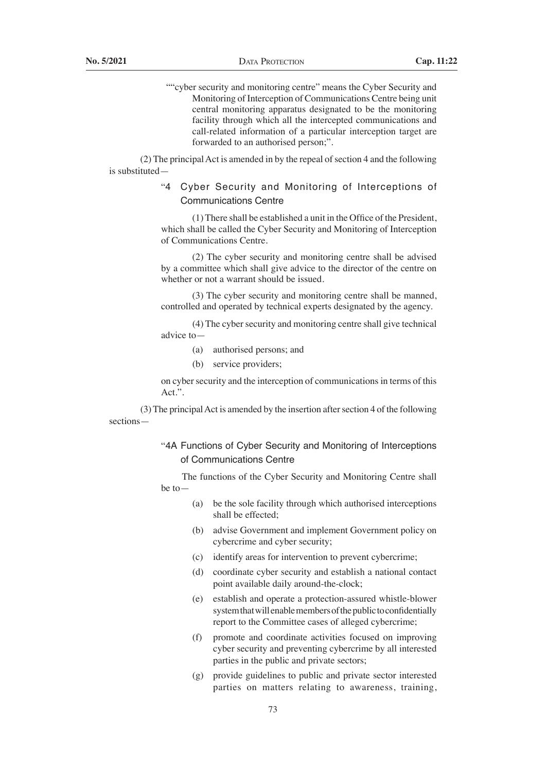""cyber security and monitoring centre" means the Cyber Security and Monitoring of Interception of Communications Centre being unit central monitoring apparatus designated to be the monitoring facility through which all the intercepted communications and call-related information of a particular interception target are forwarded to an authorised person;".

 $(2)$  The principal Act is amended in by the repeal of section 4 and the following is substituted—

> "4 Cyber Security and Monitoring of Interceptions of Communications Centre

> (1) There shall be established a unit in the Office of the President, which shall be called the Cyber Security and Monitoring of Interception of Communications Centre.

> (2) The cyber security and monitoring centre shall be advised by a committee which shall give advice to the director of the centre on whether or not a warrant should be issued.

> (3) The cyber security and monitoring centre shall be manned, controlled and operated by technical experts designated by the agency.

> (4) The cyber security and monitoring centre shall give technical advice to—

- (a) authorised persons; and
- (b) service providers;

on cyber security and the interception of communications in terms of this Act.".

(3) The principal Act is amended by the insertion after section 4 of the following sections—

> "4A Functions of Cyber Security and Monitoring of Interceptions of Communications Centre

> The functions of the Cyber Security and Monitoring Centre shall be to—

- (a) be the sole facility through which authorised interceptions shall be effected;
- (b) advise Government and implement Government policy on cybercrime and cyber security;
- (c) identify areas for intervention to prevent cybercrime;
- (d) coordinate cyber security and establish a national contact point available daily around-the-clock;
- (e) establish and operate a protection-assured whistle-blower system that will enable members of the public to confidentially report to the Committee cases of alleged cybercrime;
- (f) promote and coordinate activities focused on improving cyber security and preventing cybercrime by all interested parties in the public and private sectors;
- (g) provide guidelines to public and private sector interested parties on matters relating to awareness, training,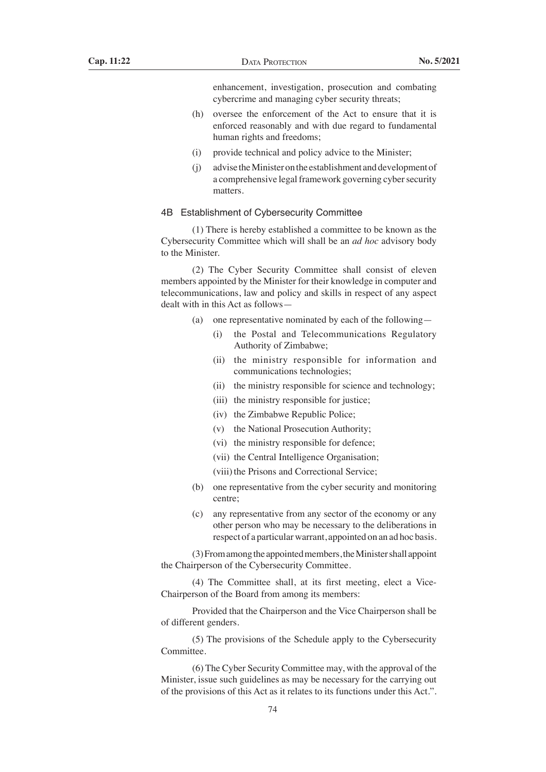enhancement, investigation, prosecution and combating cybercrime and managing cyber security threats;

- (h) oversee the enforcement of the Act to ensure that it is enforced reasonably and with due regard to fundamental human rights and freedoms;
- (i) provide technical and policy advice to the Minister;
- (j) advise theMinisteronthe establishment anddevelopmentof a comprehensive legal framework governing cyber security matters.

## 4B Establishment of Cybersecurity Committee

 (1) There is hereby established a committee to be known as the Cybersecurity Committee which will shall be an *ad hoc* advisory body to the Minister.

 (2) The Cyber Security Committee shall consist of eleven members appointed by the Minister for their knowledge in computer and telecommunications, law and policy and skills in respect of any aspect dealt with in this Act as follows—

- (a) one representative nominated by each of the following—
	- (i) the Postal and Telecommunications Regulatory Authority of Zimbabwe;
	- (ii) the ministry responsible for information and communications technologies;
	- (ii) the ministry responsible for science and technology;
	- (iii) the ministry responsible for justice;
	- (iv) the Zimbabwe Republic Police;
	- (v) the National Prosecution Authority;
	- (vi) the ministry responsible for defence;
	- (vii) the Central Intelligence Organisation;
	- (viii) the Prisons and Correctional Service;
- (b) one representative from the cyber security and monitoring centre;
- (c) any representative from any sector of the economy or any other person who may be necessary to the deliberations in respect of a particular warrant, appointed on an ad hoc basis.

 (3)Fromamongthe appointedmembers,theMinistershall appoint the Chairperson of the Cybersecurity Committee.

 (4) The Committee shall, at its first meeting, elect a Vice-Chairperson of the Board from among its members:

 Provided that the Chairperson and the Vice Chairperson shall be of different genders.

 (5) The provisions of the Schedule apply to the Cybersecurity Committee.

 (6) The Cyber Security Committee may, with the approval of the Minister, issue such guidelines as may be necessary for the carrying out of the provisions of this Act as it relates to its functions under this Act.".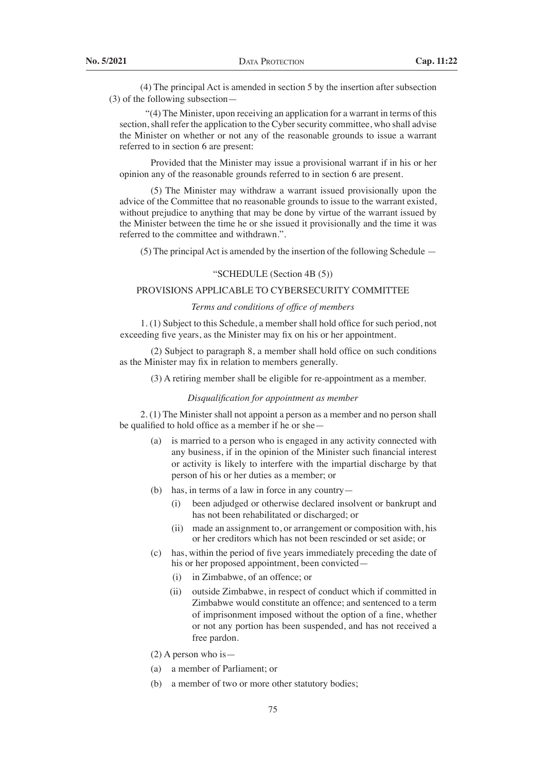(4) The principal Act is amended in section 5 by the insertion after subsection (3) of the following subsection—

 "(4) The Minister, upon receiving an application for a warrant in terms of this section, shall refer the application to the Cyber security committee, who shall advise the Minister on whether or not any of the reasonable grounds to issue a warrant referred to in section 6 are present:

 Provided that the Minister may issue a provisional warrant if in his or her opinion any of the reasonable grounds referred to in section 6 are present.

 (5) The Minister may withdraw a warrant issued provisionally upon the advice of the Committee that no reasonable grounds to issue to the warrant existed, without prejudice to anything that may be done by virtue of the warrant issued by the Minister between the time he or she issued it provisionally and the time it was referred to the committee and withdrawn.".

 $(5)$  The principal Act is amended by the insertion of the following Schedule  $-$ 

## "SCHEDULE (Section 4B (5))

## PROVISIONS APPLICABLE TO CYBERSECURITY COMMITTEE

## *Terms and conditions of office of members*

 1. (1) Subject to this Schedule, a member shall hold office for such period, not exceeding five years, as the Minister may fix on his or her appointment.

 (2) Subject to paragraph 8, a member shall hold office on such conditions as the Minister may fix in relation to members generally.

 (3) A retiring member shall be eligible for re-appointment as a member.

#### *Disqualification for appointment as member*

 2. (1) The Minister shall not appoint a person as a member and no person shall be qualified to hold office as a member if he or she—

- (a) is married to a person who is engaged in any activity connected with any business, if in the opinion of the Minister such financial interest or activity is likely to interfere with the impartial discharge by that person of his or her duties as a member; or
- (b) has, in terms of a law in force in any country—
	- (i) been adjudged or otherwise declared insolvent or bankrupt and has not been rehabilitated or discharged; or
	- (ii) made an assignment to, or arrangement or composition with, his or her creditors which has not been rescinded or set aside; or
- (c) has, within the period of five years immediately preceding the date of his or her proposed appointment, been convicted—
	- (i) in Zimbabwe, of an offence; or
	- (ii) outside Zimbabwe, in respect of conduct which if committed in Zimbabwe would constitute an offence; and sentenced to a term of imprisonment imposed without the option of a fine, whether or not any portion has been suspended, and has not received a free pardon.
- (2) A person who is—
- (a) a member of Parliament; or
- (b) a member of two or more other statutory bodies;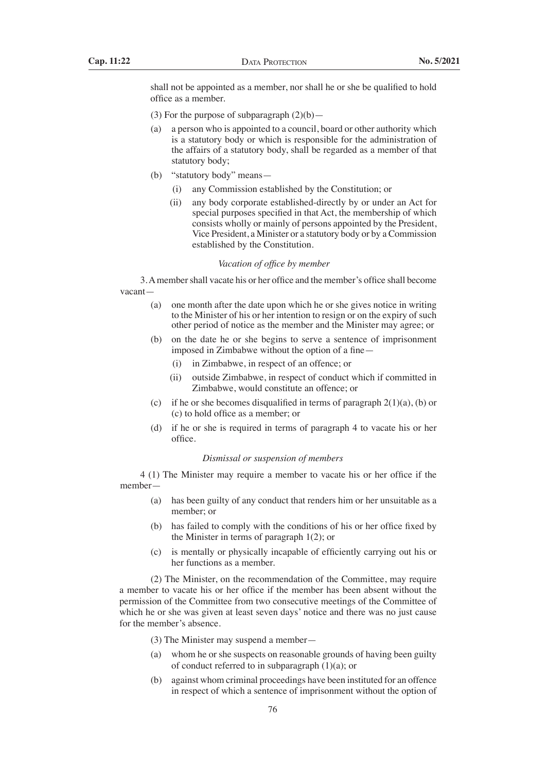shall not be appointed as a member, nor shall he or she be qualified to hold office as a member.

- (3) For the purpose of subparagraph  $(2)(b)$ —
- (a) a person who is appointed to a council, board or other authority which is a statutory body or which is responsible for the administration of the affairs of a statutory body, shall be regarded as a member of that statutory body;
- (b) "statutory body" means—
	- (i) any Commission established by the Constitution; or
	- (ii) any body corporate established-directly by or under an Act for special purposes specified in that Act, the membership of which consists wholly or mainly of persons appointed by the President, Vice President, a Minister or a statutory body or by a Commission established by the Constitution.

#### *Vacation of office by member*

 3.Amembershall vacate his or her office and the member's office shall become vacant—

- (a) one month after the date upon which he or she gives notice in writing to the Minister of his or her intention to resign or on the expiry of such other period of notice as the member and the Minister may agree; or
- (b) on the date he or she begins to serve a sentence of imprisonment imposed in Zimbabwe without the option of a fine—
	- (i) in Zimbabwe, in respect of an offence; or
	- (ii) outside Zimbabwe, in respect of conduct which if committed in Zimbabwe, would constitute an offence; or
- (c) if he or she becomes disqualified in terms of paragraph  $2(1)(a)$ , (b) or (c) to hold office as a member; or
- (d) if he or she is required in terms of paragraph 4 to vacate his or her office.

## *Dismissal or suspension of members*

 4 (1) The Minister may require a member to vacate his or her office if the member—

- (a) has been guilty of any conduct that renders him or her unsuitable as a member; or
- (b) has failed to comply with the conditions of his or her office fixed by the Minister in terms of paragraph 1(2); or
- (c) is mentally or physically incapable of efficiently carrying out his or her functions as a member.

 (2) The Minister, on the recommendation of the Committee, may require a member to vacate his or her office if the member has been absent without the permission of the Committee from two consecutive meetings of the Committee of which he or she was given at least seven days' notice and there was no just cause for the member's absence.

 (3) The Minister may suspend a member—

- (a) whom he or she suspects on reasonable grounds of having been guilty of conduct referred to in subparagraph  $(1)(a)$ ; or
- (b) against whom criminal proceedings have been instituted for an offence in respect of which a sentence of imprisonment without the option of